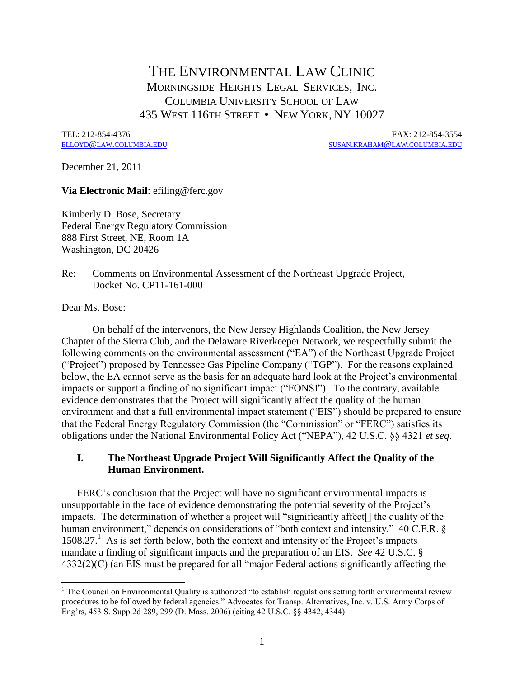# THE ENVIRONMENTAL LAW CLINIC MORNINGSIDE HEIGHTS LEGAL SERVICES, INC. COLUMBIA UNIVERSITY SCHOOL OF LAW 435 WEST 116TH STREET • NEW YORK, NY 10027

TEL: 212-854-4376 FAX: 212-854-3554  $SUSAN.KRAHAM@LAW.COLUMBIA.EDU$  $SUSAN.KRAHAM@LAW.COLUMBIA.EDU$  $SUSAN.KRAHAM@LAW.COLUMBIA.EDU$ 

December 21, 2011

#### **Via Electronic Mail**: efiling@ferc.gov

Kimberly D. Bose, Secretary Federal Energy Regulatory Commission 888 First Street, NE, Room 1A Washington, DC 20426

## Re: Comments on Environmental Assessment of the Northeast Upgrade Project, Docket No. CP11-161-000

Dear Ms. Bose:

On behalf of the intervenors, the New Jersey Highlands Coalition, the New Jersey Chapter of the Sierra Club, and the Delaware Riverkeeper Network, we respectfully submit the following comments on the environmental assessment ("EA") of the Northeast Upgrade Project ("Project") proposed by Tennessee Gas Pipeline Company ("TGP"). For the reasons explained below, the EA cannot serve as the basis for an adequate hard look at the Project's environmental impacts or support a finding of no significant impact ("FONSI"). To the contrary, available evidence demonstrates that the Project will significantly affect the quality of the human environment and that a full environmental impact statement ("EIS") should be prepared to ensure that the Federal Energy Regulatory Commission (the "Commission" or "FERC") satisfies its obligations under the National Environmental Policy Act ("NEPA"), 42 U.S.C. §§ 4321 *et seq*.

# **I. The Northeast Upgrade Project Will Significantly Affect the Quality of the Human Environment.**

FERC's conclusion that the Project will have no significant environmental impacts is unsupportable in the face of evidence demonstrating the potential severity of the Project's impacts. The determination of whether a project will "significantly affect[] the quality of the human environment," depends on considerations of "both context and intensity." 40 C.F.R. §  $1508.27<sup>1</sup>$  As is set forth below, both the context and intensity of the Project's impacts mandate a finding of significant impacts and the preparation of an EIS. *See* 42 U.S.C. § 4332(2)(C) (an EIS must be prepared for all "major Federal actions significantly affecting the

 $\overline{a}$  $<sup>1</sup>$  The Council on Environmental Quality is authorized "to establish regulations setting forth environmental review</sup> procedures to be followed by federal agencies." Advocates for Transp. Alternatives, Inc. v. U.S. Army Corps of Eng'rs, 453 S. Supp.2d 289, 299 (D. Mass. 2006) (citing 42 U.S.C. §§ 4342, 4344).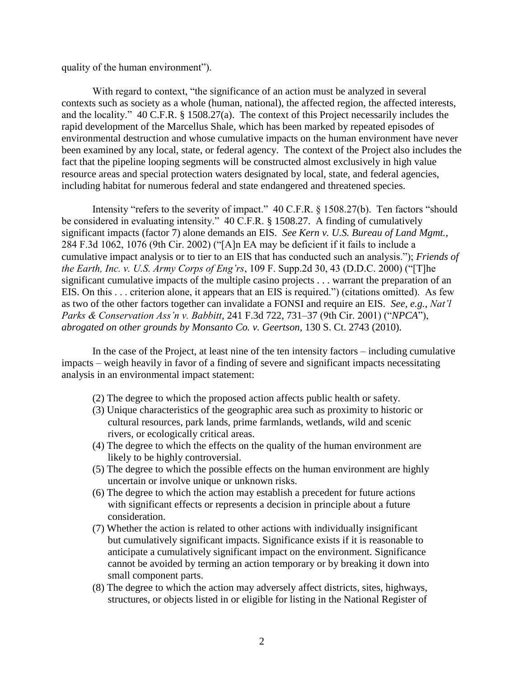quality of the human environment").

With regard to context, "the significance of an action must be analyzed in several contexts such as society as a whole (human, national), the affected region, the affected interests, and the locality." 40 C.F.R. § 1508.27(a). The context of this Project necessarily includes the rapid development of the Marcellus Shale, which has been marked by repeated episodes of environmental destruction and whose cumulative impacts on the human environment have never been examined by any local, state, or federal agency. The context of the Project also includes the fact that the pipeline looping segments will be constructed almost exclusively in high value resource areas and special protection waters designated by local, state, and federal agencies, including habitat for numerous federal and state endangered and threatened species.

Intensity "refers to the severity of impact." 40 C.F.R. § 1508.27(b). Ten factors "should be considered in evaluating intensity." 40 C.F.R. § 1508.27. A finding of cumulatively significant impacts (factor 7) alone demands an EIS. *See Kern v. U.S. Bureau of Land Mgmt.*, 284 F.3d 1062, 1076 (9th Cir. 2002) ("[A]n EA may be deficient if it fails to include a cumulative impact analysis or to tier to an EIS that has conducted such an analysis."); *Friends of the Earth, Inc. v. U.S. Army Corps of Eng'rs*, 109 F. Supp.2d 30, 43 (D.D.C. 2000) ("[T]he significant cumulative impacts of the multiple casino projects . . . warrant the preparation of an EIS. On this . . . criterion alone, it appears that an EIS is required.") (citations omitted). As few as two of the other factors together can invalidate a FONSI and require an EIS. *See, e.g.*, *Nat'l Parks & Conservation Ass'n v. Babbitt*, 241 F.3d 722, 731–37 (9th Cir. 2001) ("*NPCA*"), *abrogated on other grounds by Monsanto Co. v. Geertson*, 130 S. Ct. 2743 (2010).

In the case of the Project, at least nine of the ten intensity factors – including cumulative impacts – weigh heavily in favor of a finding of severe and significant impacts necessitating analysis in an environmental impact statement:

- (2) The degree to which the proposed action affects public health or safety.
- (3) Unique characteristics of the geographic area such as proximity to historic or cultural resources, park lands, prime farmlands, wetlands, wild and scenic rivers, or ecologically critical areas.
- (4) The degree to which the effects on the quality of the human environment are likely to be highly controversial.
- (5) The degree to which the possible effects on the human environment are highly uncertain or involve unique or unknown risks.
- (6) The degree to which the action may establish a precedent for future actions with significant effects or represents a decision in principle about a future consideration.
- (7) Whether the action is related to other actions with individually insignificant but cumulatively significant impacts. Significance exists if it is reasonable to anticipate a cumulatively significant impact on the environment. Significance cannot be avoided by terming an action temporary or by breaking it down into small component parts.
- (8) The degree to which the action may adversely affect districts, sites, highways, structures, or objects listed in or eligible for listing in the National Register of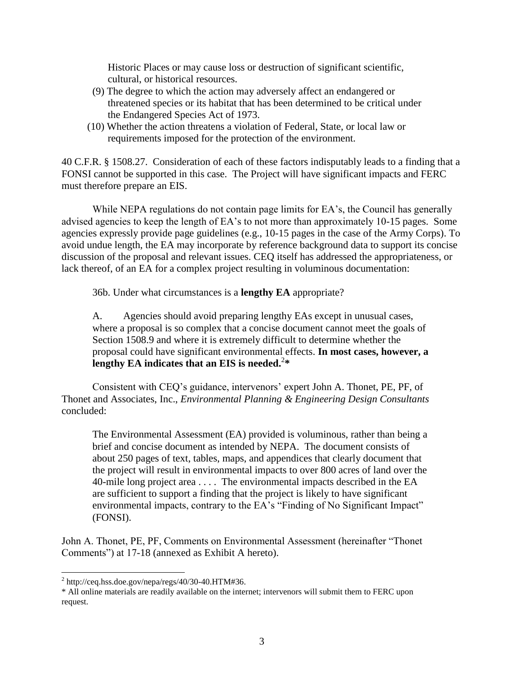Historic Places or may cause loss or destruction of significant scientific, cultural, or historical resources.

- (9) The degree to which the action may adversely affect an endangered or threatened species or its habitat that has been determined to be critical under the Endangered Species Act of 1973.
- (10) Whether the action threatens a violation of Federal, State, or local law or requirements imposed for the protection of the environment.

40 C.F.R. § 1508.27. Consideration of each of these factors indisputably leads to a finding that a FONSI cannot be supported in this case. The Project will have significant impacts and FERC must therefore prepare an EIS.

While NEPA regulations do not contain page limits for EA's, the Council has generally advised agencies to keep the length of EA's to not more than approximately 10-15 pages. Some agencies expressly provide page guidelines (e.g., 10-15 pages in the case of the Army Corps). To avoid undue length, the EA may incorporate by reference background data to support its concise discussion of the proposal and relevant issues. CEQ itself has addressed the appropriateness, or lack thereof, of an EA for a complex project resulting in voluminous documentation:

36b. Under what circumstances is a **lengthy EA** appropriate?

A. Agencies should avoid preparing lengthy EAs except in unusual cases, where a proposal is so complex that a concise document cannot meet the goals of Section 1508.9 and where it is extremely difficult to determine whether the proposal could have significant environmental effects. **In most cases, however, a lengthy EA indicates that an EIS is needed.**<sup>2</sup> **\***

Consistent with CEQ's guidance, intervenors' expert John A. Thonet, PE, PF, of Thonet and Associates, Inc., *Environmental Planning & Engineering Design Consultants* concluded:

The Environmental Assessment (EA) provided is voluminous, rather than being a brief and concise document as intended by NEPA. The document consists of about 250 pages of text, tables, maps, and appendices that clearly document that the project will result in environmental impacts to over 800 acres of land over the 40-mile long project area . . . . The environmental impacts described in the EA are sufficient to support a finding that the project is likely to have significant environmental impacts, contrary to the EA's "Finding of No Significant Impact" (FONSI).

John A. Thonet, PE, PF, Comments on Environmental Assessment (hereinafter "Thonet Comments") at 17-18 (annexed as Exhibit A hereto).

 $\overline{\phantom{a}}$ 

 $^{2}$  [http://ceq.hss.doe.gov/nepa/regs/40/30-40.HTM#36.](http://ceq.hss.doe.gov/nepa/regs/40/30-40.HTM#36)

<sup>\*</sup> All online materials are readily available on the internet; intervenors will submit them to FERC upon request.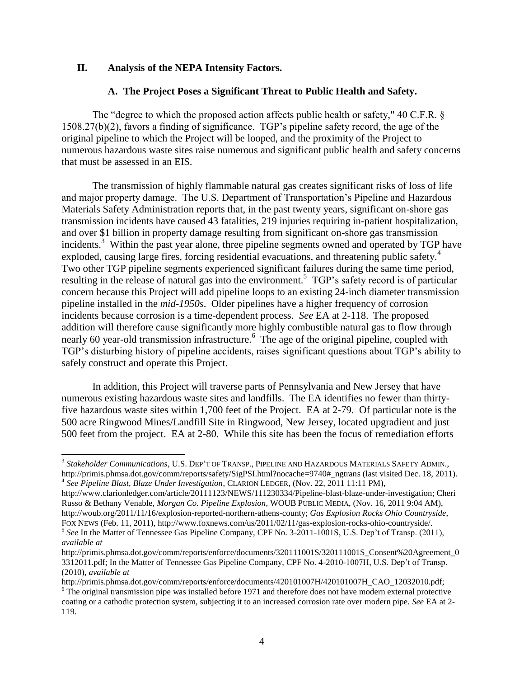## **II. Analysis of the NEPA Intensity Factors.**

 $\overline{\phantom{a}}$ 

## **A. The Project Poses a Significant Threat to Public Health and Safety.**

The "degree to which the proposed action affects public health or safety," 40 C.F.R. § 1508.27(b)(2), favors a finding of significance. TGP's pipeline safety record, the age of the original pipeline to which the Project will be looped, and the proximity of the Project to numerous hazardous waste sites raise numerous and significant public health and safety concerns that must be assessed in an EIS.

The transmission of highly flammable natural gas creates significant risks of loss of life and major property damage. The U.S. Department of Transportation's Pipeline and Hazardous Materials Safety Administration reports that, in the past twenty years, significant on-shore gas transmission incidents have caused 43 fatalities, 219 injuries requiring in-patient hospitalization, and over \$1 billion in property damage resulting from significant on-shore gas transmission incidents.<sup>3</sup> Within the past year alone, three pipeline segments owned and operated by TGP have exploded, causing large fires, forcing residential evacuations, and threatening public safety.<sup>4</sup> Two other TGP pipeline segments experienced significant failures during the same time period, resulting in the release of natural gas into the environment.<sup>5</sup> TGP's safety record is of particular concern because this Project will add pipeline loops to an existing 24-inch diameter transmission pipeline installed in the *mid-1950s*. Older pipelines have a higher frequency of corrosion incidents because corrosion is a time-dependent process. *See* EA at 2-118. The proposed addition will therefore cause significantly more highly combustible natural gas to flow through nearly 60 year-old transmission infrastructure.<sup>6</sup> The age of the original pipeline, coupled with TGP's disturbing history of pipeline accidents, raises significant questions about TGP's ability to safely construct and operate this Project.

In addition, this Project will traverse parts of Pennsylvania and New Jersey that have numerous existing hazardous waste sites and landfills. The EA identifies no fewer than thirtyfive hazardous waste sites within 1,700 feet of the Project. EA at 2-79. Of particular note is the 500 acre Ringwood Mines/Landfill Site in Ringwood, New Jersey, located upgradient and just 500 feet from the project. EA at 2-80. While this site has been the focus of remediation efforts

http://www.clarionledger.com/article/20111123/NEWS/111230334/Pipeline-blast-blaze-under-investigation; Cheri Russo & Bethany Venable, *Morgan Co. Pipeline Explosion*, WOUB PUBLIC MEDIA, (Nov. 16, 2011 9:04 AM), http://woub.org/2011/11/16/explosion-reported-northern-athens-county; *Gas Explosion Rocks Ohio Countryside*, FOX NEWS (Feb. 11, 2011), http://www.foxnews.com/us/2011/02/11/gas-explosion-rocks-ohio-countryside/.

<sup>3</sup> *Stakeholder Communications*, U.S. DEP'T OF TRANSP., PIPELINE AND HAZARDOUS MATERIALS SAFETY ADMIN., http://primis.phmsa.dot.gov/comm/reports/safety/SigPSI.html?nocache=9740# ngtrans (last visited Dec. 18, 2011). 4 *See Pipeline Blast, Blaze Under Investigation*, CLARION LEDGER, (Nov. 22, 2011 11:11 PM),

<sup>&</sup>lt;sup>5</sup> See In the Matter of Tennessee Gas Pipeline Company, CPF No. 3-2011-1001S, U.S. Dep't of Transp. (2011), *available at* 

http://primis.phmsa.dot.gov/comm/reports/enforce/documents/320111001S/320111001S\_Consent%20Agreement\_0 3312011.pdf; In the Matter of Tennessee Gas Pipeline Company, CPF No. 4-2010-1007H, U.S. Dep't of Transp. (2010), *available at*

http://primis.phmsa.dot.gov/comm/reports/enforce/documents/420101007H/420101007H\_CAO\_12032010.pdf; <sup>6</sup> The original transmission pipe was installed before 1971 and therefore does not have modern external protective coating or a cathodic protection system, subjecting it to an increased corrosion rate over modern pipe. *See* EA at 2- 119.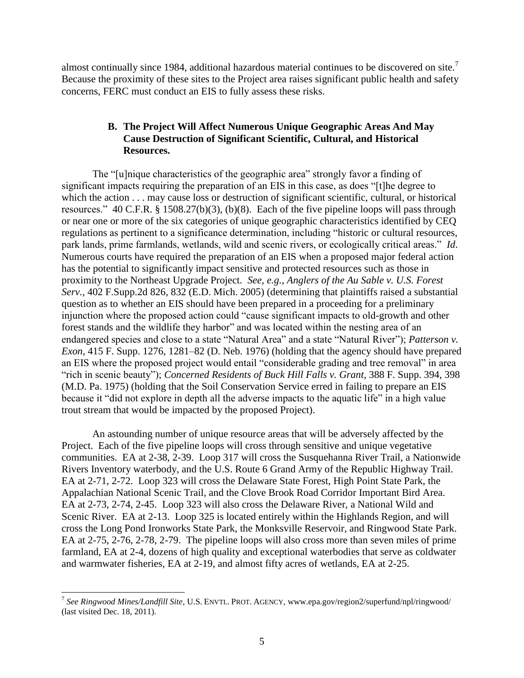almost continually since 1984, additional hazardous material continues to be discovered on site.<sup>7</sup> Because the proximity of these sites to the Project area raises significant public health and safety concerns, FERC must conduct an EIS to fully assess these risks.

# **B. The Project Will Affect Numerous Unique Geographic Areas And May Cause Destruction of Significant Scientific, Cultural, and Historical Resources.**

The "[u]nique characteristics of the geographic area" strongly favor a finding of significant impacts requiring the preparation of an EIS in this case, as does "[t]he degree to which the action . . . may cause loss or destruction of significant scientific, cultural, or historical resources." 40 C.F.R. § 1508.27(b)(3), (b)(8). Each of the five pipeline loops will pass through or near one or more of the six categories of unique geographic characteristics identified by CEQ regulations as pertinent to a significance determination, including "historic or cultural resources, park lands, prime farmlands, wetlands, wild and scenic rivers, or ecologically critical areas." *Id*. Numerous courts have required the preparation of an EIS when a proposed major federal action has the potential to significantly impact sensitive and protected resources such as those in proximity to the Northeast Upgrade Project. *See, e.g.*, *Anglers of the Au Sable v. U.S. Forest Serv.*, 402 F.Supp.2d 826, 832 (E.D. Mich. 2005) (determining that plaintiffs raised a substantial question as to whether an EIS should have been prepared in a proceeding for a preliminary injunction where the proposed action could "cause significant impacts to old-growth and other forest stands and the wildlife they harbor" and was located within the nesting area of an endangered species and close to a state "Natural Area" and a state "Natural River"); *Patterson v. Exon*, 415 F. Supp. 1276, 1281–82 (D. Neb. 1976) (holding that the agency should have prepared an EIS where the proposed project would entail "considerable grading and tree removal" in area "rich in scenic beauty"); *Concerned Residents of Buck Hill Falls v. Grant*, 388 F. Supp. 394, 398 (M.D. Pa. 1975) (holding that the Soil Conservation Service erred in failing to prepare an EIS because it "did not explore in depth all the adverse impacts to the aquatic life" in a high value trout stream that would be impacted by the proposed Project).

An astounding number of unique resource areas that will be adversely affected by the Project. Each of the five pipeline loops will cross through sensitive and unique vegetative communities. EA at 2-38, 2-39. Loop 317 will cross the Susquehanna River Trail, a Nationwide Rivers Inventory waterbody, and the U.S. Route 6 Grand Army of the Republic Highway Trail. EA at 2-71, 2-72. Loop 323 will cross the Delaware State Forest, High Point State Park, the Appalachian National Scenic Trail, and the Clove Brook Road Corridor Important Bird Area. EA at 2-73, 2-74, 2-45. Loop 323 will also cross the Delaware River, a National Wild and Scenic River. EA at 2-13. Loop 325 is located entirely within the Highlands Region, and will cross the Long Pond Ironworks State Park, the Monksville Reservoir, and Ringwood State Park. EA at 2-75, 2-76, 2-78, 2-79. The pipeline loops will also cross more than seven miles of prime farmland, EA at 2-4, dozens of high quality and exceptional waterbodies that serve as coldwater and warmwater fisheries, EA at 2-19, and almost fifty acres of wetlands, EA at 2-25.

 7 *See Ringwood Mines/Landfill Site*, U.S. ENVTL. PROT. AGENCY, www.epa.gov/region2/superfund/npl/ringwood/ (last visited Dec. 18, 2011).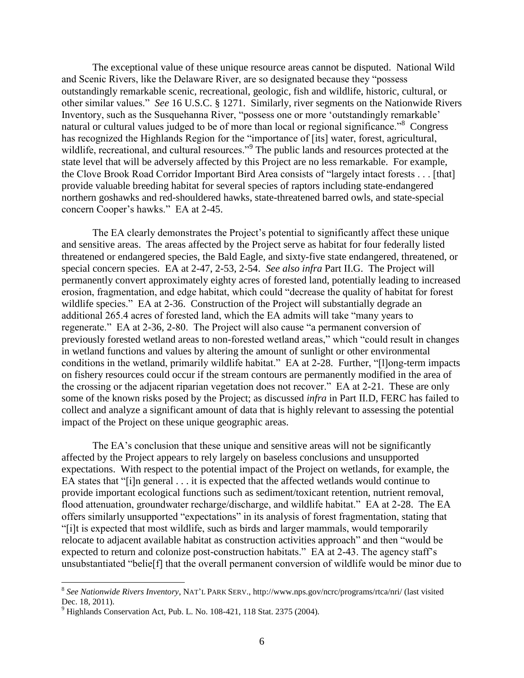The exceptional value of these unique resource areas cannot be disputed. National Wild and Scenic Rivers, like the Delaware River, are so designated because they "possess outstandingly remarkable scenic, recreational, geologic, fish and wildlife, historic, cultural, or other similar values." *See* 16 U.S.C. § 1271. Similarly, river segments on the Nationwide Rivers Inventory, such as the Susquehanna River, "possess one or more 'outstandingly remarkable' natural or cultural values judged to be of more than local or regional significance."<sup>8</sup> Congress has recognized the Highlands Region for the "importance of [its] water, forest, agricultural, wildlife, recreational, and cultural resources."<sup>9</sup> The public lands and resources protected at the state level that will be adversely affected by this Project are no less remarkable. For example, the Clove Brook Road Corridor Important Bird Area consists of "largely intact forests . . . [that] provide valuable breeding habitat for several species of raptors including state-endangered northern goshawks and red-shouldered hawks, state-threatened barred owls, and state-special concern Cooper's hawks." EA at 2-45.

The EA clearly demonstrates the Project's potential to significantly affect these unique and sensitive areas. The areas affected by the Project serve as habitat for four federally listed threatened or endangered species, the Bald Eagle, and sixty-five state endangered, threatened, or special concern species. EA at 2-47, 2-53, 2-54. *See also infra* Part II.G. The Project will permanently convert approximately eighty acres of forested land, potentially leading to increased erosion, fragmentation, and edge habitat, which could "decrease the quality of habitat for forest wildlife species." EA at 2-36. Construction of the Project will substantially degrade an additional 265.4 acres of forested land, which the EA admits will take "many years to regenerate." EA at 2-36, 2-80. The Project will also cause "a permanent conversion of previously forested wetland areas to non-forested wetland areas," which "could result in changes in wetland functions and values by altering the amount of sunlight or other environmental conditions in the wetland, primarily wildlife habitat." EA at 2-28. Further, "[l]ong-term impacts on fishery resources could occur if the stream contours are permanently modified in the area of the crossing or the adjacent riparian vegetation does not recover." EA at 2-21. These are only some of the known risks posed by the Project; as discussed *infra* in Part II.D, FERC has failed to collect and analyze a significant amount of data that is highly relevant to assessing the potential impact of the Project on these unique geographic areas.

The EA's conclusion that these unique and sensitive areas will not be significantly affected by the Project appears to rely largely on baseless conclusions and unsupported expectations. With respect to the potential impact of the Project on wetlands, for example, the EA states that "[i]n general . . . it is expected that the affected wetlands would continue to provide important ecological functions such as sediment/toxicant retention, nutrient removal, flood attenuation, groundwater recharge/discharge, and wildlife habitat." EA at 2-28. The EA offers similarly unsupported "expectations" in its analysis of forest fragmentation, stating that "[i]t is expected that most wildlife, such as birds and larger mammals, would temporarily relocate to adjacent available habitat as construction activities approach" and then "would be expected to return and colonize post-construction habitats." EA at 2-43. The agency staff's unsubstantiated "belie[f] that the overall permanent conversion of wildlife would be minor due to

 $\overline{\phantom{a}}$ 

<sup>8</sup> *See Nationwide Rivers Inventory*, NAT'L PARK SERV., http://www.nps.gov/ncrc/programs/rtca/nri/ (last visited Dec. 18, 2011).

 $9$  Highlands Conservation Act, Pub. L. No. 108-421, 118 Stat. 2375 (2004).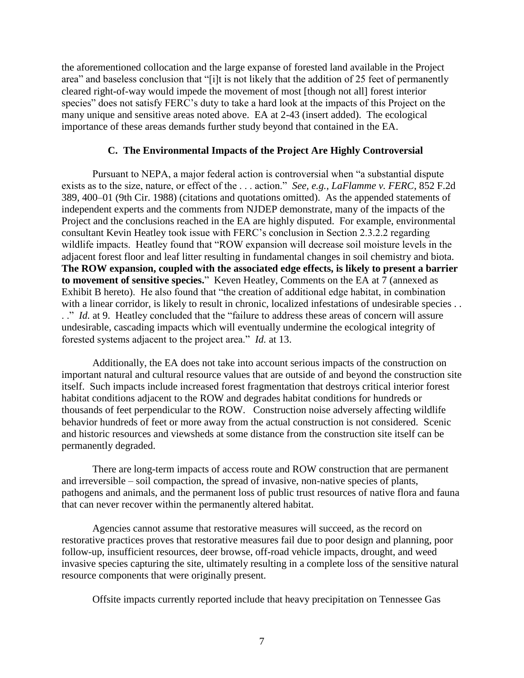the aforementioned collocation and the large expanse of forested land available in the Project area" and baseless conclusion that "[i]t is not likely that the addition of 25 feet of permanently cleared right-of-way would impede the movement of most [though not all] forest interior species" does not satisfy FERC's duty to take a hard look at the impacts of this Project on the many unique and sensitive areas noted above. EA at 2-43 (insert added). The ecological importance of these areas demands further study beyond that contained in the EA.

## **C. The Environmental Impacts of the Project Are Highly Controversial**

Pursuant to NEPA, a major federal action is controversial when "a substantial dispute exists as to the size, nature, or effect of the . . . action." *See, e.g.*, *LaFlamme v. FERC*, 852 F.2d 389, 400–01 (9th Cir. 1988) (citations and quotations omitted). As the appended statements of independent experts and the comments from NJDEP demonstrate, many of the impacts of the Project and the conclusions reached in the EA are highly disputed. For example, environmental consultant Kevin Heatley took issue with FERC's conclusion in Section 2.3.2.2 regarding wildlife impacts. Heatley found that "ROW expansion will decrease soil moisture levels in the adjacent forest floor and leaf litter resulting in fundamental changes in soil chemistry and biota. **The ROW expansion, coupled with the associated edge effects, is likely to present a barrier**  to movement of sensitive species." Keven Heatley, Comments on the EA at  $\overline{7}$  (annexed as Exhibit B hereto). He also found that "the creation of additional edge habitat, in combination with a linear corridor, is likely to result in chronic, localized infestations of undesirable species . . .." *Id.* at 9. Heatley concluded that the "failure to address these areas of concern will assure undesirable, cascading impacts which will eventually undermine the ecological integrity of forested systems adjacent to the project area." *Id.* at 13.

Additionally, the EA does not take into account serious impacts of the construction on important natural and cultural resource values that are outside of and beyond the construction site itself. Such impacts include increased forest fragmentation that destroys critical interior forest habitat conditions adjacent to the ROW and degrades habitat conditions for hundreds or thousands of feet perpendicular to the ROW. Construction noise adversely affecting wildlife behavior hundreds of feet or more away from the actual construction is not considered. Scenic and historic resources and viewsheds at some distance from the construction site itself can be permanently degraded.

There are long-term impacts of access route and ROW construction that are permanent and irreversible – soil compaction, the spread of invasive, non-native species of plants, pathogens and animals, and the permanent loss of public trust resources of native flora and fauna that can never recover within the permanently altered habitat.

Agencies cannot assume that restorative measures will succeed, as the record on restorative practices proves that restorative measures fail due to poor design and planning, poor follow-up, insufficient resources, deer browse, off-road vehicle impacts, drought, and weed invasive species capturing the site, ultimately resulting in a complete loss of the sensitive natural resource components that were originally present.

Offsite impacts currently reported include that heavy precipitation on Tennessee Gas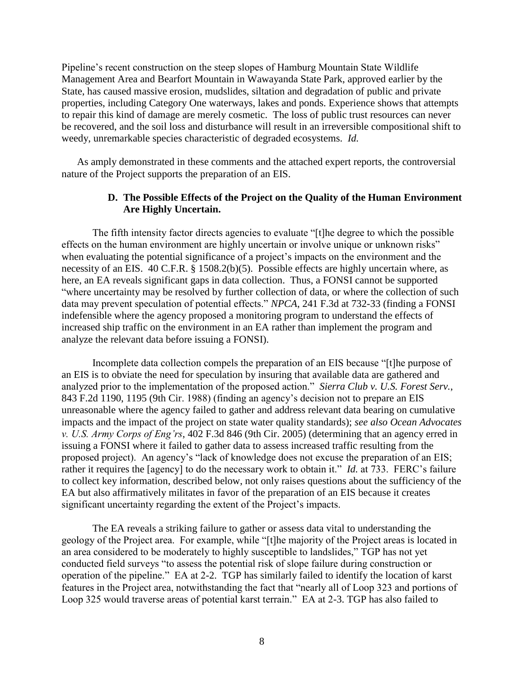Pipeline's recent construction on the steep slopes of Hamburg Mountain State Wildlife Management Area and Bearfort Mountain in Wawayanda State Park, approved earlier by the State, has caused massive erosion, mudslides, siltation and degradation of public and private properties, including Category One waterways, lakes and ponds. Experience shows that attempts to repair this kind of damage are merely cosmetic. The loss of public trust resources can never be recovered, and the soil loss and disturbance will result in an irreversible compositional shift to weedy, unremarkable species characteristic of degraded ecosystems. *Id.*

As amply demonstrated in these comments and the attached expert reports, the controversial nature of the Project supports the preparation of an EIS.

# **D. The Possible Effects of the Project on the Quality of the Human Environment Are Highly Uncertain.**

The fifth intensity factor directs agencies to evaluate "[t]he degree to which the possible effects on the human environment are highly uncertain or involve unique or unknown risks" when evaluating the potential significance of a project's impacts on the environment and the necessity of an EIS. 40 C.F.R. § 1508.2(b)(5). Possible effects are highly uncertain where, as here, an EA reveals significant gaps in data collection. Thus, a FONSI cannot be supported "where uncertainty may be resolved by further collection of data, or where the collection of such data may prevent speculation of potential effects." *NPCA*, 241 F.3d at 732-33 (finding a FONSI indefensible where the agency proposed a monitoring program to understand the effects of increased ship traffic on the environment in an EA rather than implement the program and analyze the relevant data before issuing a FONSI).

Incomplete data collection compels the preparation of an EIS because "[t]he purpose of an EIS is to obviate the need for speculation by insuring that available data are gathered and analyzed prior to the implementation of the proposed action." *Sierra Club v. U.S. Forest Serv.*, 843 F.2d 1190, 1195 (9th Cir. 1988) (finding an agency's decision not to prepare an EIS unreasonable where the agency failed to gather and address relevant data bearing on cumulative impacts and the impact of the project on state water quality standards); *see also Ocean Advocates v. U.S. Army Corps of Eng'rs*, 402 F.3d 846 (9th Cir. 2005) (determining that an agency erred in issuing a FONSI where it failed to gather data to assess increased traffic resulting from the proposed project). An agency's "lack of knowledge does not excuse the preparation of an EIS; rather it requires the [agency] to do the necessary work to obtain it." *Id.* at 733. FERC's failure to collect key information, described below, not only raises questions about the sufficiency of the EA but also affirmatively militates in favor of the preparation of an EIS because it creates significant uncertainty regarding the extent of the Project's impacts.

The EA reveals a striking failure to gather or assess data vital to understanding the geology of the Project area. For example, while "[t]he majority of the Project areas is located in an area considered to be moderately to highly susceptible to landslides," TGP has not yet conducted field surveys "to assess the potential risk of slope failure during construction or operation of the pipeline." EA at 2-2. TGP has similarly failed to identify the location of karst features in the Project area, notwithstanding the fact that "nearly all of Loop 323 and portions of Loop 325 would traverse areas of potential karst terrain." EA at 2-3. TGP has also failed to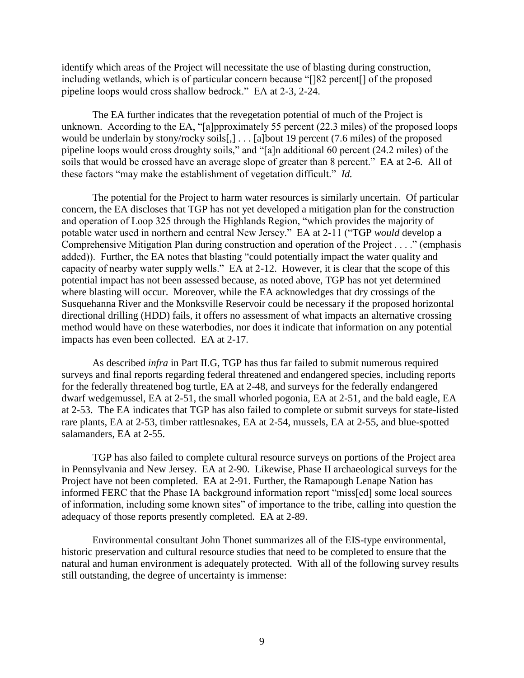identify which areas of the Project will necessitate the use of blasting during construction, including wetlands, which is of particular concern because "[]82 percent[] of the proposed pipeline loops would cross shallow bedrock." EA at 2-3, 2-24.

The EA further indicates that the revegetation potential of much of the Project is unknown. According to the EA, "[a]pproximately 55 percent (22.3 miles) of the proposed loops would be underlain by stony/rocky soils[,] . . . [a]bout 19 percent (7.6 miles) of the proposed pipeline loops would cross droughty soils," and "[a]n additional 60 percent (24.2 miles) of the soils that would be crossed have an average slope of greater than 8 percent." EA at 2-6. All of these factors "may make the establishment of vegetation difficult." *Id.*

The potential for the Project to harm water resources is similarly uncertain. Of particular concern, the EA discloses that TGP has not yet developed a mitigation plan for the construction and operation of Loop 325 through the Highlands Region, "which provides the majority of potable water used in northern and central New Jersey." EA at 2-11 ("TGP *would* develop a Comprehensive Mitigation Plan during construction and operation of the Project . . . ." (emphasis added)). Further, the EA notes that blasting "could potentially impact the water quality and capacity of nearby water supply wells." EA at 2-12. However, it is clear that the scope of this potential impact has not been assessed because, as noted above, TGP has not yet determined where blasting will occur. Moreover, while the EA acknowledges that dry crossings of the Susquehanna River and the Monksville Reservoir could be necessary if the proposed horizontal directional drilling (HDD) fails, it offers no assessment of what impacts an alternative crossing method would have on these waterbodies, nor does it indicate that information on any potential impacts has even been collected. EA at 2-17.

As described *infra* in Part II.G, TGP has thus far failed to submit numerous required surveys and final reports regarding federal threatened and endangered species, including reports for the federally threatened bog turtle, EA at 2-48, and surveys for the federally endangered dwarf wedgemussel, EA at 2-51, the small whorled pogonia, EA at 2-51, and the bald eagle, EA at 2-53. The EA indicates that TGP has also failed to complete or submit surveys for state-listed rare plants, EA at 2-53, timber rattlesnakes, EA at 2-54, mussels, EA at 2-55, and blue-spotted salamanders, EA at 2-55.

TGP has also failed to complete cultural resource surveys on portions of the Project area in Pennsylvania and New Jersey. EA at 2-90. Likewise, Phase II archaeological surveys for the Project have not been completed. EA at 2-91. Further, the Ramapough Lenape Nation has informed FERC that the Phase IA background information report "miss[ed] some local sources of information, including some known sites" of importance to the tribe, calling into question the adequacy of those reports presently completed. EA at 2-89.

Environmental consultant John Thonet summarizes all of the EIS-type environmental, historic preservation and cultural resource studies that need to be completed to ensure that the natural and human environment is adequately protected. With all of the following survey results still outstanding, the degree of uncertainty is immense: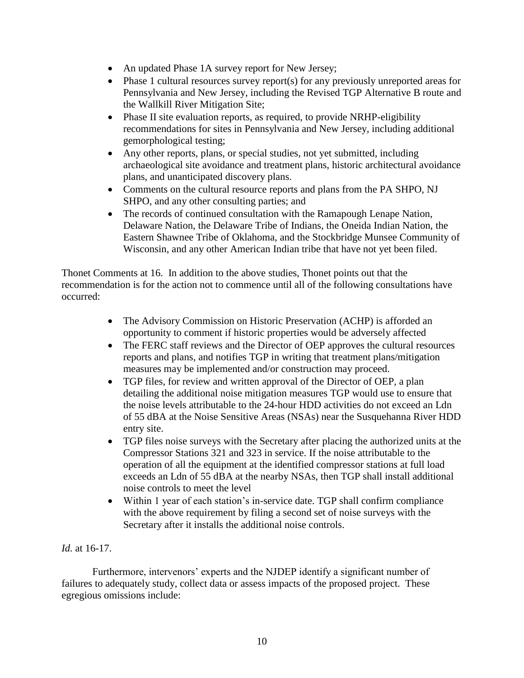- An updated Phase 1A survey report for New Jersey;
- $\bullet$  Phase 1 cultural resources survey report(s) for any previously unreported areas for Pennsylvania and New Jersey, including the Revised TGP Alternative B route and the Wallkill River Mitigation Site;
- Phase II site evaluation reports, as required, to provide NRHP-eligibility recommendations for sites in Pennsylvania and New Jersey, including additional gemorphological testing;
- Any other reports, plans, or special studies, not yet submitted, including archaeological site avoidance and treatment plans, historic architectural avoidance plans, and unanticipated discovery plans.
- Comments on the cultural resource reports and plans from the PA SHPO, NJ SHPO, and any other consulting parties; and
- The records of continued consultation with the Ramapough Lenape Nation, Delaware Nation, the Delaware Tribe of Indians, the Oneida Indian Nation, the Eastern Shawnee Tribe of Oklahoma, and the Stockbridge Munsee Community of Wisconsin, and any other American Indian tribe that have not yet been filed.

Thonet Comments at 16. In addition to the above studies, Thonet points out that the recommendation is for the action not to commence until all of the following consultations have occurred:

- The Advisory Commission on Historic Preservation (ACHP) is afforded an opportunity to comment if historic properties would be adversely affected
- The FERC staff reviews and the Director of OEP approves the cultural resources reports and plans, and notifies TGP in writing that treatment plans/mitigation measures may be implemented and/or construction may proceed.
- TGP files, for review and written approval of the Director of OEP, a plan detailing the additional noise mitigation measures TGP would use to ensure that the noise levels attributable to the 24-hour HDD activities do not exceed an Ldn of 55 dBA at the Noise Sensitive Areas (NSAs) near the Susquehanna River HDD entry site.
- TGP files noise surveys with the Secretary after placing the authorized units at the Compressor Stations 321 and 323 in service. If the noise attributable to the operation of all the equipment at the identified compressor stations at full load exceeds an Ldn of 55 dBA at the nearby NSAs, then TGP shall install additional noise controls to meet the level
- Within 1 year of each station's in-service date. TGP shall confirm compliance with the above requirement by filing a second set of noise surveys with the Secretary after it installs the additional noise controls.

# *Id.* at 16-17.

Furthermore, intervenors' experts and the NJDEP identify a significant number of failures to adequately study, collect data or assess impacts of the proposed project. These egregious omissions include: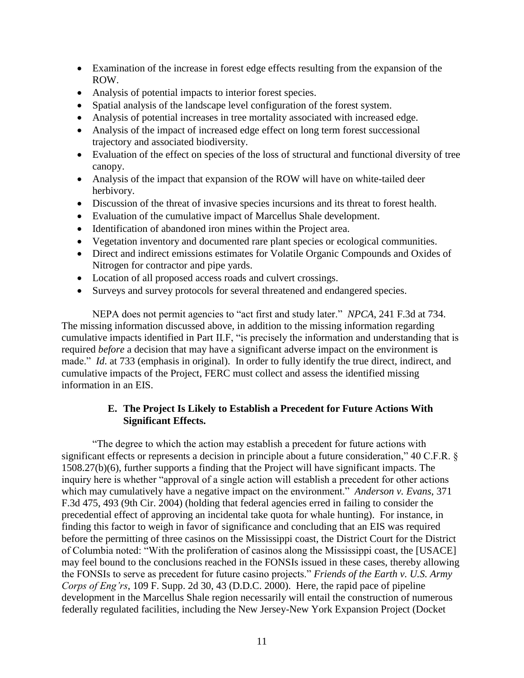- Examination of the increase in forest edge effects resulting from the expansion of the ROW.
- Analysis of potential impacts to interior forest species.
- Spatial analysis of the landscape level configuration of the forest system.
- Analysis of potential increases in tree mortality associated with increased edge.
- Analysis of the impact of increased edge effect on long term forest successional trajectory and associated biodiversity.
- Evaluation of the effect on species of the loss of structural and functional diversity of tree canopy.
- Analysis of the impact that expansion of the ROW will have on white-tailed deer herbivory.
- Discussion of the threat of invasive species incursions and its threat to forest health.
- Evaluation of the cumulative impact of Marcellus Shale development.
- Identification of abandoned iron mines within the Project area.
- Vegetation inventory and documented rare plant species or ecological communities.
- Direct and indirect emissions estimates for Volatile Organic Compounds and Oxides of Nitrogen for contractor and pipe yards.
- Location of all proposed access roads and culvert crossings.
- Surveys and survey protocols for several threatened and endangered species.

NEPA does not permit agencies to "act first and study later." *NPCA*, 241 F.3d at 734. The missing information discussed above, in addition to the missing information regarding cumulative impacts identified in Part II.F, "is precisely the information and understanding that is required *before* a decision that may have a significant adverse impact on the environment is made." *Id*. at 733 (emphasis in original). In order to fully identify the true direct, indirect, and cumulative impacts of the Project, FERC must collect and assess the identified missing information in an EIS.

# **E. The Project Is Likely to Establish a Precedent for Future Actions With Significant Effects.**

"The degree to which the action may establish a precedent for future actions with significant effects or represents a decision in principle about a future consideration," 40 C.F.R. § 1508.27(b)(6), further supports a finding that the Project will have significant impacts. The inquiry here is whether "approval of a single action will establish a precedent for other actions which may cumulatively have a negative impact on the environment." *Anderson v. Evans*, 371 F.3d 475, 493 (9th Cir. 2004) (holding that federal agencies erred in failing to consider the precedential effect of approving an incidental take quota for whale hunting). For instance, in finding this factor to weigh in favor of significance and concluding that an EIS was required before the permitting of three casinos on the Mississippi coast, the District Court for the District of Columbia noted: "With the proliferation of casinos along the Mississippi coast, the [USACE] may feel bound to the conclusions reached in the FONSIs issued in these cases, thereby allowing the FONSIs to serve as precedent for future casino projects." *Friends of the Earth v. U.S. Army Corps of Eng'rs*, 109 F. Supp. 2d 30, 43 (D.D.C. 2000). Here, the rapid pace of pipeline development in the Marcellus Shale region necessarily will entail the construction of numerous federally regulated facilities, including the New Jersey-New York Expansion Project (Docket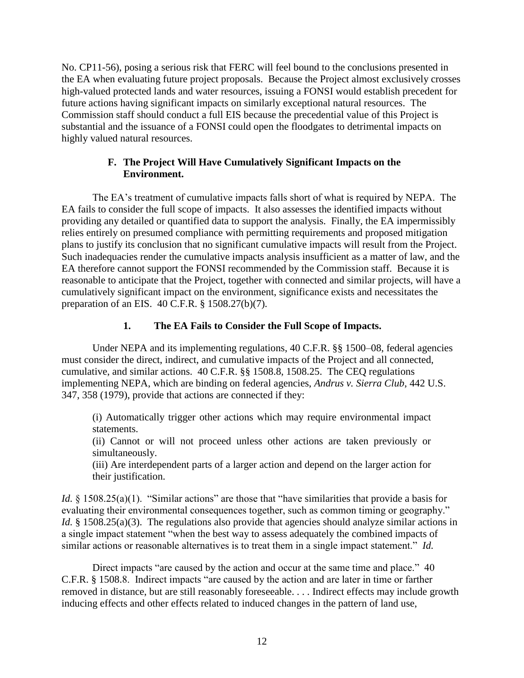No. CP11-56), posing a serious risk that FERC will feel bound to the conclusions presented in the EA when evaluating future project proposals. Because the Project almost exclusively crosses high-valued protected lands and water resources, issuing a FONSI would establish precedent for future actions having significant impacts on similarly exceptional natural resources. The Commission staff should conduct a full EIS because the precedential value of this Project is substantial and the issuance of a FONSI could open the floodgates to detrimental impacts on highly valued natural resources.

## **F. The Project Will Have Cumulatively Significant Impacts on the Environment.**

The EA's treatment of cumulative impacts falls short of what is required by NEPA. The EA fails to consider the full scope of impacts. It also assesses the identified impacts without providing any detailed or quantified data to support the analysis. Finally, the EA impermissibly relies entirely on presumed compliance with permitting requirements and proposed mitigation plans to justify its conclusion that no significant cumulative impacts will result from the Project. Such inadequacies render the cumulative impacts analysis insufficient as a matter of law, and the EA therefore cannot support the FONSI recommended by the Commission staff. Because it is reasonable to anticipate that the Project, together with connected and similar projects, will have a cumulatively significant impact on the environment, significance exists and necessitates the preparation of an EIS. 40 C.F.R. § 1508.27(b)(7).

# **1. The EA Fails to Consider the Full Scope of Impacts.**

Under NEPA and its implementing regulations, 40 C.F.R. §§ 1500–08, federal agencies must consider the direct, indirect, and cumulative impacts of the Project and all connected, cumulative, and similar actions. 40 C.F.R. §§ 1508.8, 1508.25. The CEQ regulations implementing NEPA, which are binding on federal agencies, *Andrus v. Sierra Club*, 442 U.S. 347, 358 (1979), provide that actions are connected if they:

(i) Automatically trigger other actions which may require environmental impact statements.

(ii) Cannot or will not proceed unless other actions are taken previously or simultaneously.

(iii) Are interdependent parts of a larger action and depend on the larger action for their justification.

*Id.* § 1508.25(a)(1). "Similar actions" are those that "have similarities that provide a basis for evaluating their environmental consequences together, such as common timing or geography." *Id.* § 1508.25(a)(3). The regulations also provide that agencies should analyze similar actions in a single impact statement "when the best way to assess adequately the combined impacts of similar actions or reasonable alternatives is to treat them in a single impact statement." *Id.*

Direct impacts "are caused by the action and occur at the same time and place." 40 C.F.R. § 1508.8. Indirect impacts "are caused by the action and are later in time or farther removed in distance, but are still reasonably foreseeable. . . . Indirect effects may include growth inducing effects and other effects related to induced changes in the pattern of land use,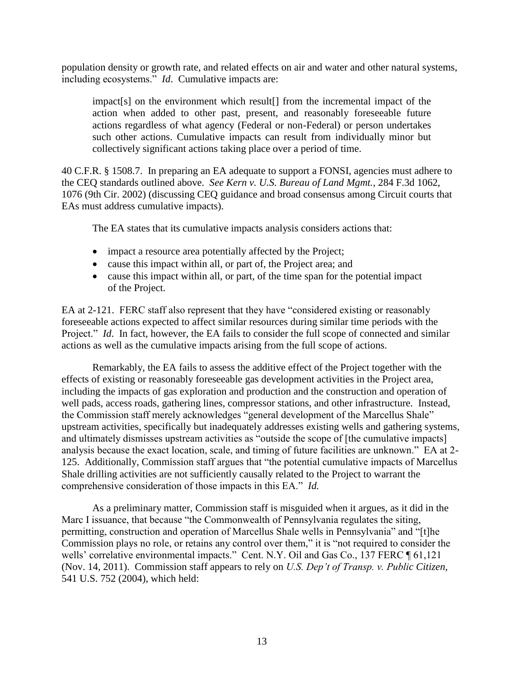population density or growth rate, and related effects on air and water and other natural systems, including ecosystems." *Id*. Cumulative impacts are:

impact[s] on the environment which result[] from the incremental impact of the action when added to other past, present, and reasonably foreseeable future actions regardless of what agency (Federal or non-Federal) or person undertakes such other actions. Cumulative impacts can result from individually minor but collectively significant actions taking place over a period of time.

40 C.F.R. § 1508.7. In preparing an EA adequate to support a FONSI, agencies must adhere to the CEQ standards outlined above. *See Kern v. U.S. Bureau of Land Mgmt.*, 284 F.3d 1062, 1076 (9th Cir. 2002) (discussing CEQ guidance and broad consensus among Circuit courts that EAs must address cumulative impacts).

The EA states that its cumulative impacts analysis considers actions that:

- impact a resource area potentially affected by the Project;
- cause this impact within all, or part of, the Project area; and
- cause this impact within all, or part, of the time span for the potential impact of the Project.

EA at 2-121. FERC staff also represent that they have "considered existing or reasonably foreseeable actions expected to affect similar resources during similar time periods with the Project." *Id.* In fact, however, the EA fails to consider the full scope of connected and similar actions as well as the cumulative impacts arising from the full scope of actions.

Remarkably, the EA fails to assess the additive effect of the Project together with the effects of existing or reasonably foreseeable gas development activities in the Project area, including the impacts of gas exploration and production and the construction and operation of well pads, access roads, gathering lines, compressor stations, and other infrastructure. Instead, the Commission staff merely acknowledges "general development of the Marcellus Shale" upstream activities, specifically but inadequately addresses existing wells and gathering systems, and ultimately dismisses upstream activities as "outside the scope of [the cumulative impacts] analysis because the exact location, scale, and timing of future facilities are unknown." EA at 2- 125. Additionally, Commission staff argues that "the potential cumulative impacts of Marcellus Shale drilling activities are not sufficiently causally related to the Project to warrant the comprehensive consideration of those impacts in this EA." *Id.*

As a preliminary matter, Commission staff is misguided when it argues, as it did in the Marc I issuance, that because "the Commonwealth of Pennsylvania regulates the siting, permitting, construction and operation of Marcellus Shale wells in Pennsylvania" and "[t]he Commission plays no role, or retains any control over them," it is "not required to consider the wells' correlative environmental impacts." Cent. N.Y. Oil and Gas Co., 137 FERC ¶ 61,121 (Nov. 14, 2011). Commission staff appears to rely on *U.S. Dep't of Transp. v. Public Citizen*, 541 U.S. 752 (2004), which held: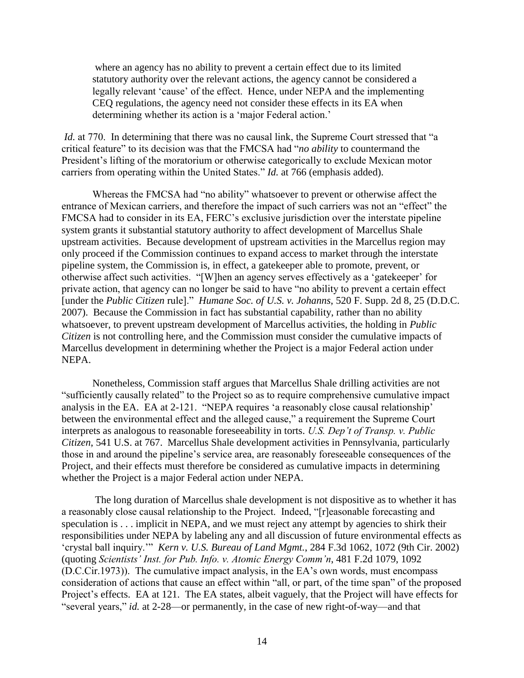where an agency has no ability to prevent a certain effect due to its limited statutory authority over the relevant actions, the agency cannot be considered a legally relevant 'cause' of the effect. Hence, under NEPA and the implementing CEQ regulations, the agency need not consider these effects in its EA when determining whether its action is a 'major Federal action.'

*Id.* at 770. In determining that there was no causal link, the Supreme Court stressed that "a critical feature" to its decision was that the FMCSA had "*no ability* to countermand the President's lifting of the moratorium or otherwise categorically to exclude Mexican motor carriers from operating within the United States." *Id.* at 766 (emphasis added).

Whereas the FMCSA had "no ability" whatsoever to prevent or otherwise affect the entrance of Mexican carriers, and therefore the impact of such carriers was not an "effect" the FMCSA had to consider in its EA, FERC's exclusive jurisdiction over the interstate pipeline system grants it substantial statutory authority to affect development of Marcellus Shale upstream activities. Because development of upstream activities in the Marcellus region may only proceed if the Commission continues to expand access to market through the interstate pipeline system, the Commission is, in effect, a gatekeeper able to promote, prevent, or otherwise affect such activities. "[W]hen an agency serves effectively as a 'gatekeeper' for private action, that agency can no longer be said to have "no ability to prevent a certain effect [under the *Public Citizen* rule]." *Humane Soc. of U.S. v. Johanns*, 520 F. Supp. 2d 8, 25 (D.D.C. 2007). Because the Commission in fact has substantial capability, rather than no ability whatsoever, to prevent upstream development of Marcellus activities, the holding in *Public Citizen* is not controlling here, and the Commission must consider the cumulative impacts of Marcellus development in determining whether the Project is a major Federal action under NEPA.

Nonetheless, Commission staff argues that Marcellus Shale drilling activities are not "sufficiently causally related" to the Project so as to require comprehensive cumulative impact analysis in the EA. EA at 2-121. "NEPA requires 'a reasonably close causal relationship' between the environmental effect and the alleged cause," a requirement the Supreme Court interprets as analogous to reasonable foreseeability in torts. *U.S. Dep't of Transp. v. Public Citizen*, 541 U.S. at 767. Marcellus Shale development activities in Pennsylvania, particularly those in and around the pipeline's service area, are reasonably foreseeable consequences of the Project, and their effects must therefore be considered as cumulative impacts in determining whether the Project is a major Federal action under NEPA.

The long duration of Marcellus shale development is not dispositive as to whether it has a reasonably close causal relationship to the Project. Indeed, "[r]easonable forecasting and speculation is . . . implicit in NEPA, and we must reject any attempt by agencies to shirk their responsibilities under NEPA by labeling any and all discussion of future environmental effects as 'crystal ball inquiry.'" *Kern v. U.S. Bureau of Land Mgmt.*, 284 F.3d 1062, 1072 (9th Cir. 2002) (quoting *Scientists' Inst. for Pub. Info. v. Atomic Energy Comm'n*, 481 F.2d 1079, 1092 (D.C.Cir.1973)). The cumulative impact analysis, in the EA's own words, must encompass consideration of actions that cause an effect within "all, or part, of the time span" of the proposed Project's effects. EA at 121. The EA states, albeit vaguely, that the Project will have effects for "several years," *id.* at 2-28—or permanently, in the case of new right-of-way—and that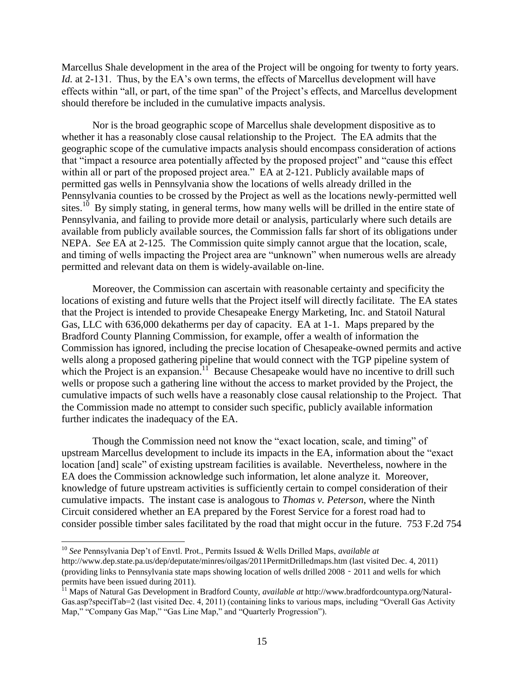Marcellus Shale development in the area of the Project will be ongoing for twenty to forty years. *Id.* at 2-131. Thus, by the EA's own terms, the effects of Marcellus development will have effects within "all, or part, of the time span" of the Project's effects, and Marcellus development should therefore be included in the cumulative impacts analysis.

Nor is the broad geographic scope of Marcellus shale development dispositive as to whether it has a reasonably close causal relationship to the Project. The EA admits that the geographic scope of the cumulative impacts analysis should encompass consideration of actions that "impact a resource area potentially affected by the proposed project" and "cause this effect within all or part of the proposed project area." EA at 2-121. Publicly available maps of permitted gas wells in Pennsylvania show the locations of wells already drilled in the Pennsylvania counties to be crossed by the Project as well as the locations newly-permitted well sites.<sup>10</sup> By simply stating, in general terms, how many wells will be drilled in the entire state of Pennsylvania, and failing to provide more detail or analysis, particularly where such details are available from publicly available sources, the Commission falls far short of its obligations under NEPA. *See* EA at 2-125. The Commission quite simply cannot argue that the location, scale, and timing of wells impacting the Project area are "unknown" when numerous wells are already permitted and relevant data on them is widely-available on-line.

Moreover, the Commission can ascertain with reasonable certainty and specificity the locations of existing and future wells that the Project itself will directly facilitate. The EA states that the Project is intended to provide Chesapeake Energy Marketing, Inc. and Statoil Natural Gas, LLC with 636,000 dekatherms per day of capacity. EA at 1-1. Maps prepared by the Bradford County Planning Commission, for example, offer a wealth of information the Commission has ignored, including the precise location of Chesapeake-owned permits and active wells along a proposed gathering pipeline that would connect with the TGP pipeline system of which the Project is an expansion.<sup>11</sup> Because Chesapeake would have no incentive to drill such wells or propose such a gathering line without the access to market provided by the Project, the cumulative impacts of such wells have a reasonably close causal relationship to the Project. That the Commission made no attempt to consider such specific, publicly available information further indicates the inadequacy of the EA.

Though the Commission need not know the "exact location, scale, and timing" of upstream Marcellus development to include its impacts in the EA, information about the "exact location [and] scale" of existing upstream facilities is available. Nevertheless, nowhere in the EA does the Commission acknowledge such information, let alone analyze it. Moreover, knowledge of future upstream activities is sufficiently certain to compel consideration of their cumulative impacts. The instant case is analogous to *Thomas v. Peterson*, where the Ninth Circuit considered whether an EA prepared by the Forest Service for a forest road had to consider possible timber sales facilitated by the road that might occur in the future. 753 F.2d 754

 $\overline{\phantom{a}}$ 

<sup>10</sup> *See* Pennsylvania Dep't of Envtl. Prot., Permits Issued & Wells Drilled Maps, *available at*

http://www.dep.state.pa.us/dep/deputate/minres/oilgas/2011PermitDrilledmaps.htm (last visited Dec. 4, 2011) (providing links to Pennsylvania state maps showing location of wells drilled 2008‐2011 and wells for which permits have been issued during 2011).

<sup>11</sup> Maps of Natural Gas Development in Bradford County, *available at* http://www.bradfordcountypa.org/Natural-Gas.asp?specifTab=2 (last visited Dec. 4, 2011) (containing links to various maps, including "Overall Gas Activity Map," "Company Gas Map," "Gas Line Map," and "Quarterly Progression").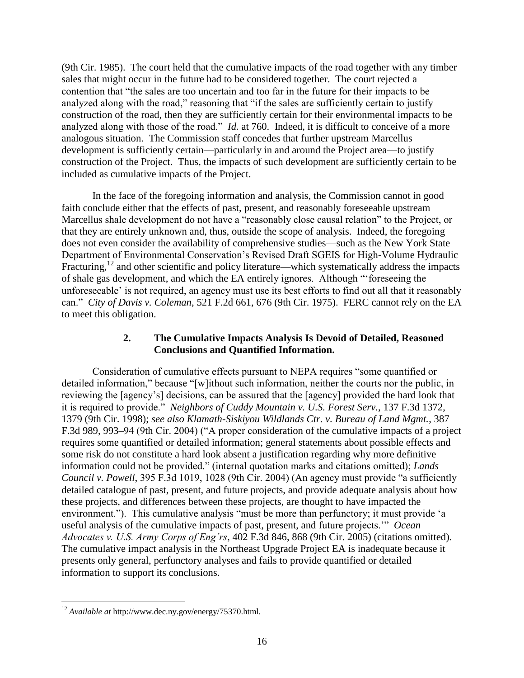(9th Cir. 1985). The court held that the cumulative impacts of the road together with any timber sales that might occur in the future had to be considered together. The court rejected a contention that "the sales are too uncertain and too far in the future for their impacts to be analyzed along with the road," reasoning that "if the sales are sufficiently certain to justify construction of the road, then they are sufficiently certain for their environmental impacts to be analyzed along with those of the road." *Id.* at 760. Indeed, it is difficult to conceive of a more analogous situation. The Commission staff concedes that further upstream Marcellus development is sufficiently certain—particularly in and around the Project area—to justify construction of the Project. Thus, the impacts of such development are sufficiently certain to be included as cumulative impacts of the Project.

In the face of the foregoing information and analysis, the Commission cannot in good faith conclude either that the effects of past, present, and reasonably foreseeable upstream Marcellus shale development do not have a "reasonably close causal relation" to the Project, or that they are entirely unknown and, thus, outside the scope of analysis. Indeed, the foregoing does not even consider the availability of comprehensive studies—such as the New York State Department of Environmental Conservation's Revised Draft SGEIS for High-Volume Hydraulic Fracturing,<sup>12</sup> and other scientific and policy literature—which systematically address the impacts of shale gas development, and which the EA entirely ignores. Although "'foreseeing the unforeseeable' is not required, an agency must use its best efforts to find out all that it reasonably can." *City of Davis v. Coleman*, 521 F.2d 661, 676 (9th Cir. 1975). FERC cannot rely on the EA to meet this obligation.

## **2. The Cumulative Impacts Analysis Is Devoid of Detailed, Reasoned Conclusions and Quantified Information.**

Consideration of cumulative effects pursuant to NEPA requires "some quantified or detailed information," because "[w]ithout such information, neither the courts nor the public, in reviewing the [agency's] decisions, can be assured that the [agency] provided the hard look that it is required to provide." *Neighbors of Cuddy Mountain v. U.S. Forest Serv.*, 137 F.3d 1372, 1379 (9th Cir. 1998); *see also Klamath-Siskiyou Wildlands Ctr. v. Bureau of Land Mgmt.*, 387 F.3d 989, 993–94 (9th Cir. 2004) ("A proper consideration of the cumulative impacts of a project requires some quantified or detailed information; general statements about possible effects and some risk do not constitute a hard look absent a justification regarding why more definitive information could not be provided." (internal quotation marks and citations omitted); *Lands Council v. Powell*, 395 F.3d 1019, 1028 (9th Cir. 2004) (An agency must provide "a sufficiently detailed catalogue of past, present, and future projects, and provide adequate analysis about how these projects, and differences between these projects, are thought to have impacted the environment."). This cumulative analysis "must be more than perfunctory; it must provide 'a useful analysis of the cumulative impacts of past, present, and future projects.'" *Ocean Advocates v. U.S. Army Corps of Eng'rs*, 402 F.3d 846, 868 (9th Cir. 2005) (citations omitted). The cumulative impact analysis in the Northeast Upgrade Project EA is inadequate because it presents only general, perfunctory analyses and fails to provide quantified or detailed information to support its conclusions.

 $\overline{\phantom{a}}$ <sup>12</sup> *Available at* http://www.dec.ny.gov/energy/75370.html.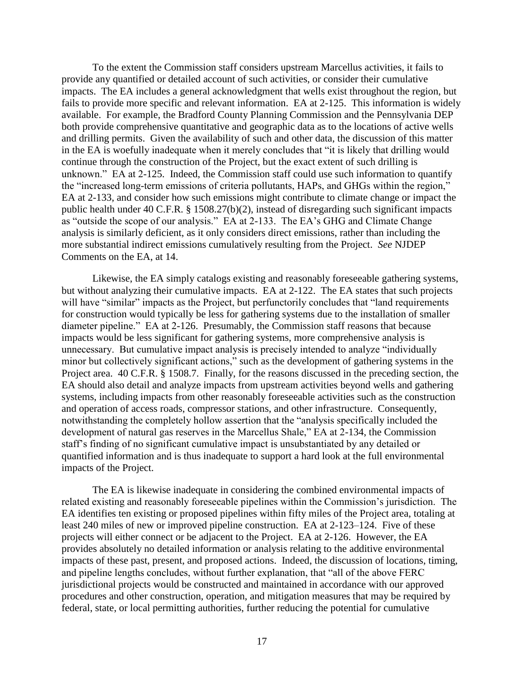To the extent the Commission staff considers upstream Marcellus activities, it fails to provide any quantified or detailed account of such activities, or consider their cumulative impacts. The EA includes a general acknowledgment that wells exist throughout the region, but fails to provide more specific and relevant information. EA at 2-125. This information is widely available. For example, the Bradford County Planning Commission and the Pennsylvania DEP both provide comprehensive quantitative and geographic data as to the locations of active wells and drilling permits. Given the availability of such and other data, the discussion of this matter in the EA is woefully inadequate when it merely concludes that "it is likely that drilling would continue through the construction of the Project, but the exact extent of such drilling is unknown." EA at 2-125. Indeed, the Commission staff could use such information to quantify the "increased long-term emissions of criteria pollutants, HAPs, and GHGs within the region," EA at 2-133, and consider how such emissions might contribute to climate change or impact the public health under 40 C.F.R. § 1508.27(b)(2), instead of disregarding such significant impacts as "outside the scope of our analysis." EA at 2-133. The EA's GHG and Climate Change analysis is similarly deficient, as it only considers direct emissions, rather than including the more substantial indirect emissions cumulatively resulting from the Project. *See* NJDEP Comments on the EA, at 14.

Likewise, the EA simply catalogs existing and reasonably foreseeable gathering systems, but without analyzing their cumulative impacts. EA at 2-122. The EA states that such projects will have "similar" impacts as the Project, but perfunctorily concludes that "land requirements" for construction would typically be less for gathering systems due to the installation of smaller diameter pipeline." EA at 2-126. Presumably, the Commission staff reasons that because impacts would be less significant for gathering systems, more comprehensive analysis is unnecessary. But cumulative impact analysis is precisely intended to analyze "individually minor but collectively significant actions," such as the development of gathering systems in the Project area. 40 C.F.R. § 1508.7. Finally, for the reasons discussed in the preceding section, the EA should also detail and analyze impacts from upstream activities beyond wells and gathering systems, including impacts from other reasonably foreseeable activities such as the construction and operation of access roads, compressor stations, and other infrastructure. Consequently, notwithstanding the completely hollow assertion that the "analysis specifically included the development of natural gas reserves in the Marcellus Shale," EA at 2-134, the Commission staff's finding of no significant cumulative impact is unsubstantiated by any detailed or quantified information and is thus inadequate to support a hard look at the full environmental impacts of the Project.

The EA is likewise inadequate in considering the combined environmental impacts of related existing and reasonably foreseeable pipelines within the Commission's jurisdiction. The EA identifies ten existing or proposed pipelines within fifty miles of the Project area, totaling at least 240 miles of new or improved pipeline construction. EA at 2-123–124. Five of these projects will either connect or be adjacent to the Project. EA at 2-126. However, the EA provides absolutely no detailed information or analysis relating to the additive environmental impacts of these past, present, and proposed actions. Indeed, the discussion of locations, timing, and pipeline lengths concludes, without further explanation, that "all of the above FERC jurisdictional projects would be constructed and maintained in accordance with our approved procedures and other construction, operation, and mitigation measures that may be required by federal, state, or local permitting authorities, further reducing the potential for cumulative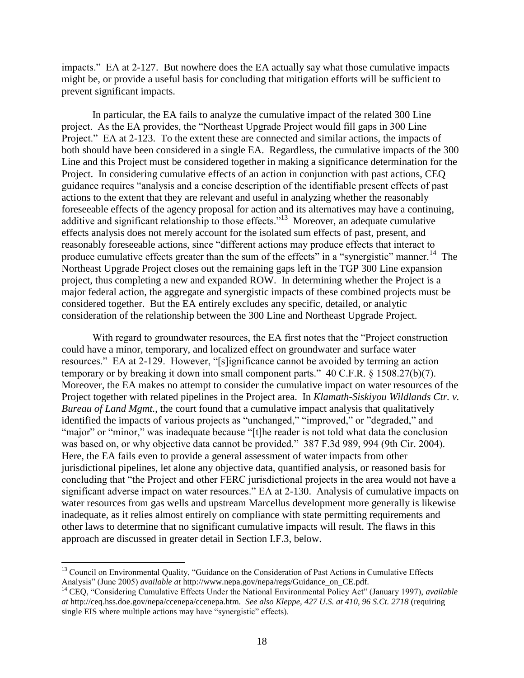impacts." EA at 2-127. But nowhere does the EA actually say what those cumulative impacts might be, or provide a useful basis for concluding that mitigation efforts will be sufficient to prevent significant impacts.

In particular, the EA fails to analyze the cumulative impact of the related 300 Line project. As the EA provides, the "Northeast Upgrade Project would fill gaps in 300 Line Project." EA at 2-123. To the extent these are connected and similar actions, the impacts of both should have been considered in a single EA. Regardless, the cumulative impacts of the 300 Line and this Project must be considered together in making a significance determination for the Project. In considering cumulative effects of an action in conjunction with past actions, CEQ guidance requires "analysis and a concise description of the identifiable present effects of past actions to the extent that they are relevant and useful in analyzing whether the reasonably foreseeable effects of the agency proposal for action and its alternatives may have a continuing, additive and significant relationship to those effects."<sup>13</sup> Moreover, an adequate cumulative effects analysis does not merely account for the isolated sum effects of past, present, and reasonably foreseeable actions, since "different actions may produce effects that interact to produce cumulative effects greater than the sum of the effects" in a "synergistic" manner.<sup>14</sup> The Northeast Upgrade Project closes out the remaining gaps left in the TGP 300 Line expansion project, thus completing a new and expanded ROW. In determining whether the Project is a major federal action, the aggregate and synergistic impacts of these combined projects must be considered together. But the EA entirely excludes any specific, detailed, or analytic consideration of the relationship between the 300 Line and Northeast Upgrade Project.

With regard to groundwater resources, the EA first notes that the "Project construction could have a minor, temporary, and localized effect on groundwater and surface water resources." EA at 2-129. However, "[s]ignificance cannot be avoided by terming an action temporary or by breaking it down into small component parts." 40 C.F.R. § 1508.27(b)(7). Moreover, the EA makes no attempt to consider the cumulative impact on water resources of the Project together with related pipelines in the Project area. In *Klamath-Siskiyou Wildlands Ctr. v. Bureau of Land Mgmt.*, the court found that a cumulative impact analysis that qualitatively identified the impacts of various projects as "unchanged," "improved," or "degraded," and "major" or "minor," was inadequate because "[t]he reader is not told what data the conclusion was based on, or why objective data cannot be provided." 387 F.3d 989, 994 (9th Cir. 2004). Here, the EA fails even to provide a general assessment of water impacts from other jurisdictional pipelines, let alone any objective data, quantified analysis, or reasoned basis for concluding that "the Project and other FERC jurisdictional projects in the area would not have a significant adverse impact on water resources." EA at 2-130. Analysis of cumulative impacts on water resources from gas wells and upstream Marcellus development more generally is likewise inadequate, as it relies almost entirely on compliance with state permitting requirements and other laws to determine that no significant cumulative impacts will result. The flaws in this approach are discussed in greater detail in Section I.F.3, below.

 $\overline{\phantom{a}}$ 

<sup>&</sup>lt;sup>13</sup> Council on Environmental Quality, "Guidance on the Consideration of Past Actions in Cumulative Effects Analysis" (June 2005) *available at* http://www.nepa.gov/nepa/regs/Guidance\_on\_CE.pdf.

<sup>14</sup> CEQ, "Considering Cumulative Effects Under the National Environmental Policy Act" (January 1997), *available at* http://ceq.hss.doe.gov/nepa/ccenepa/ccenepa.htm. *See also Kleppe, 427 U.S. at 410, 96 S.Ct. 2718* (requiring single EIS where multiple actions may have "synergistic" effects).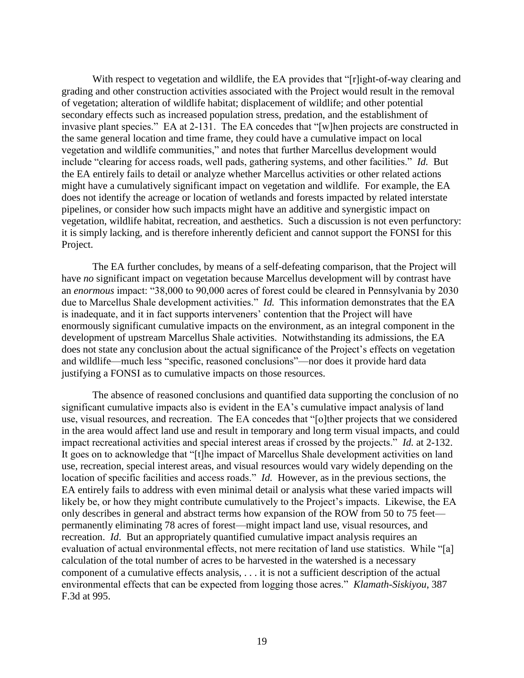With respect to vegetation and wildlife, the EA provides that "[r]ight-of-way clearing and grading and other construction activities associated with the Project would result in the removal of vegetation; alteration of wildlife habitat; displacement of wildlife; and other potential secondary effects such as increased population stress, predation, and the establishment of invasive plant species." EA at 2-131. The EA concedes that "[w]hen projects are constructed in the same general location and time frame, they could have a cumulative impact on local vegetation and wildlife communities," and notes that further Marcellus development would include "clearing for access roads, well pads, gathering systems, and other facilities." *Id.* But the EA entirely fails to detail or analyze whether Marcellus activities or other related actions might have a cumulatively significant impact on vegetation and wildlife. For example, the EA does not identify the acreage or location of wetlands and forests impacted by related interstate pipelines, or consider how such impacts might have an additive and synergistic impact on vegetation, wildlife habitat, recreation, and aesthetics. Such a discussion is not even perfunctory: it is simply lacking, and is therefore inherently deficient and cannot support the FONSI for this Project.

The EA further concludes, by means of a self-defeating comparison, that the Project will have *no* significant impact on vegetation because Marcellus development will by contrast have an *enormous* impact: "38,000 to 90,000 acres of forest could be cleared in Pennsylvania by 2030 due to Marcellus Shale development activities." *Id.* This information demonstrates that the EA is inadequate, and it in fact supports interveners' contention that the Project will have enormously significant cumulative impacts on the environment, as an integral component in the development of upstream Marcellus Shale activities. Notwithstanding its admissions, the EA does not state any conclusion about the actual significance of the Project's effects on vegetation and wildlife—much less "specific, reasoned conclusions"—nor does it provide hard data justifying a FONSI as to cumulative impacts on those resources.

The absence of reasoned conclusions and quantified data supporting the conclusion of no significant cumulative impacts also is evident in the EA's cumulative impact analysis of land use, visual resources, and recreation. The EA concedes that "[o]ther projects that we considered in the area would affect land use and result in temporary and long term visual impacts, and could impact recreational activities and special interest areas if crossed by the projects." *Id.* at 2-132. It goes on to acknowledge that "[t]he impact of Marcellus Shale development activities on land use, recreation, special interest areas, and visual resources would vary widely depending on the location of specific facilities and access roads." *Id.* However, as in the previous sections, the EA entirely fails to address with even minimal detail or analysis what these varied impacts will likely be, or how they might contribute cumulatively to the Project's impacts. Likewise, the EA only describes in general and abstract terms how expansion of the ROW from 50 to 75 feet permanently eliminating 78 acres of forest—might impact land use, visual resources, and recreation. *Id*. But an appropriately quantified cumulative impact analysis requires an evaluation of actual environmental effects, not mere recitation of land use statistics. While "[a] calculation of the total number of acres to be harvested in the watershed is a necessary component of a cumulative effects analysis, . . . it is not a sufficient description of the actual environmental effects that can be expected from logging those acres." *Klamath-Siskiyou*, 387 F.3d at 995.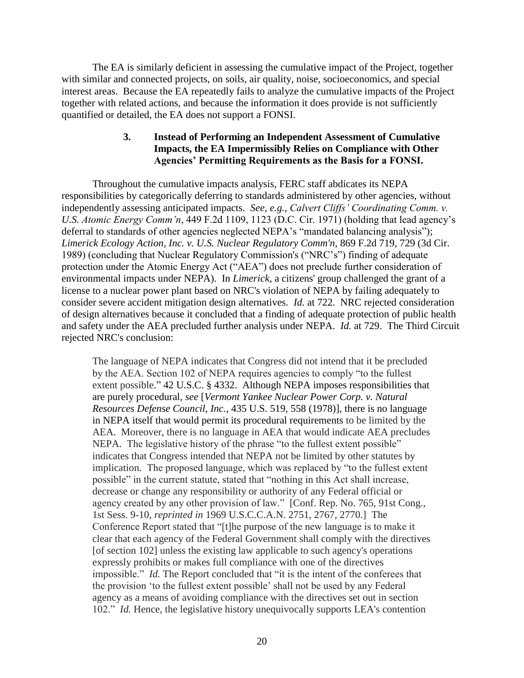The EA is similarly deficient in assessing the cumulative impact of the Project, together with similar and connected projects, on soils, air quality, noise, socioeconomics, and special interest areas. Because the EA repeatedly fails to analyze the cumulative impacts of the Project together with related actions, and because the information it does provide is not sufficiently quantified or detailed, the EA does not support a FONSI.

# **3. Instead of Performing an Independent Assessment of Cumulative Impacts, the EA Impermissibly Relies on Compliance with Other Agencies' Permitting Requirements as the Basis for a FONSI.**

Throughout the cumulative impacts analysis, FERC staff abdicates its NEPA responsibilities by categorically deferring to standards administered by other agencies, without independently assessing anticipated impacts. *See, e.g.*, *Calvert Cliffs' Coordinating Comm. v. U.S. Atomic Energy Comm'n*, 449 F.2d 1109, 1123 (D.C. Cir. 1971) (holding that lead agency's deferral to standards of other agencies neglected NEPA's "mandated balancing analysis"); *Limerick Ecology Action, Inc. v. U.S. Nuclear Regulatory Comm'n*, 869 F.2d 719, 729 (3d Cir. 1989) (concluding that Nuclear Regulatory Commission's ("NRC's") finding of adequate protection under the Atomic Energy Act ("AEA") does not preclude further consideration of environmental impacts under NEPA). In *Limerick*, a citizens' group challenged the grant of a license to a nuclear power plant based on NRC's violation of NEPA by failing adequately to consider severe accident mitigation design alternatives. *Id.* at 722. NRC rejected consideration of design alternatives because it concluded that a finding of adequate protection of public health and safety under the AEA precluded further analysis under NEPA. *Id.* at 729. The Third Circuit rejected NRC's conclusion:

The language of NEPA indicates that Congress did not intend that it be precluded by the AEA. Section 102 of NEPA requires agencies to comply "to the fullest extent possible." 42 U.S.C. § 4332. Although NEPA imposes responsibilities that are purely procedural, *see* [*Vermont Yankee Nuclear Power Corp. v. Natural Resources Defense Council, Inc.,* 435 U.S. [519, 558 \(1978\)\],](http://www.westlaw.com/Find/Default.wl?rs=dfa1.0&vr=2.0&DB=708&FindType=Y&ReferencePositionType=S&SerialNum=1978114214&ReferencePosition=1219) there is no language in NEPA itself that would permit its procedural requirements to be limited by the AEA. Moreover, there is no language in AEA that would indicate AEA precludes NEPA. The legislative history of the phrase "to the fullest extent possible" indicates that Congress intended that NEPA not be limited by other statutes by implication. The proposed language, which was replaced by "to the fullest extent possible" in the current statute, stated that "nothing in this Act shall increase, decrease or change any responsibility or authority of any Federal official or agency created by any other provision of law." [Conf. Rep. No. 765, 91st Cong., 1st Sess. 9-10, *reprinted in* 1969 U.S.C.C.A.N. 2751, 2767, 2770.] The Conference Report stated that "[t]he purpose of the new language is to make it clear that each agency of the Federal Government shall comply with the directives [of section 102] unless the existing law applicable to such agency's operations expressly prohibits or makes full compliance with one of the directives impossible." *Id.* The Report concluded that "it is the intent of the conferees that the provision 'to the fullest extent possible' shall not be used by any Federal agency as a means of avoiding compliance with the directives set out in section 102." *Id.* Hence, the legislative history unequivocally supports LEA's contention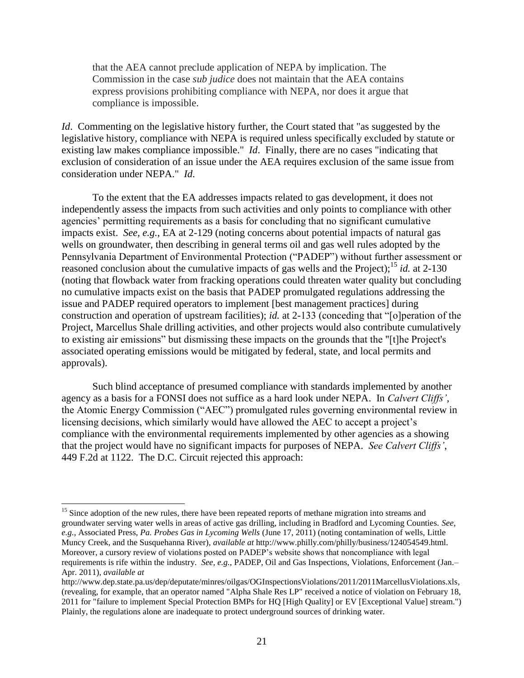that the AEA cannot preclude application of NEPA by implication. The Commission in the case *sub judice* does not maintain that the AEA contains express provisions prohibiting compliance with NEPA, nor does it argue that compliance is impossible.

*Id.* Commenting on the legislative history further, the Court stated that "as suggested by the legislative history, compliance with NEPA is required unless specifically excluded by statute or existing law makes compliance impossible." *Id*. Finally, there are no cases "indicating that exclusion of consideration of an issue under the AEA requires exclusion of the same issue from consideration under NEPA." *Id*.

To the extent that the EA addresses impacts related to gas development, it does not independently assess the impacts from such activities and only points to compliance with other agencies' permitting requirements as a basis for concluding that no significant cumulative impacts exist. *See, e.g.*, EA at 2-129 (noting concerns about potential impacts of natural gas wells on groundwater, then describing in general terms oil and gas well rules adopted by the Pennsylvania Department of Environmental Protection ("PADEP") without further assessment or reasoned conclusion about the cumulative impacts of gas wells and the Project);<sup>15</sup> *id.* at 2-130 (noting that flowback water from fracking operations could threaten water quality but concluding no cumulative impacts exist on the basis that PADEP promulgated regulations addressing the issue and PADEP required operators to implement [best management practices] during construction and operation of upstream facilities); *id.* at 2-133 (conceding that "[o]peration of the Project, Marcellus Shale drilling activities, and other projects would also contribute cumulatively to existing air emissions" but dismissing these impacts on the grounds that the "[t]he Project's associated operating emissions would be mitigated by federal, state, and local permits and approvals).

Such blind acceptance of presumed compliance with standards implemented by another agency as a basis for a FONSI does not suffice as a hard look under NEPA. In *Calvert Cliffs'*, the Atomic Energy Commission ("AEC") promulgated rules governing environmental review in licensing decisions, which similarly would have allowed the AEC to accept a project's compliance with the environmental requirements implemented by other agencies as a showing that the project would have no significant impacts for purposes of NEPA. *See Calvert Cliffs'*, 449 F.2d at 1122. The D.C. Circuit rejected this approach:

<sup>&</sup>lt;sup>15</sup> Since adoption of the new rules, there have been repeated reports of methane migration into streams and groundwater serving water wells in areas of active gas drilling, including in Bradford and Lycoming Counties. *See*, *e.g.*, Associated Press, *Pa. Probes Gas in Lycoming Wells* (June 17, 2011) (noting contamination of wells, Little Muncy Creek, and the Susquehanna River), *available at* http://www.philly.com/philly/business/124054549.html. Moreover, a cursory review of violations posted on PADEP's website shows that noncompliance with legal requirements is rife within the industry. *See, e.g.*, PADEP, Oil and Gas Inspections, Violations, Enforcement (Jan.– Apr. 2011), *available at*

http://www.dep.state.pa.us/dep/deputate/minres/oilgas/OGInspectionsViolations/2011/2011MarcellusViolations.xls*,* (revealing, for example, that an operator named "Alpha Shale Res LP" received a notice of violation on February 18, 2011 for "failure to implement Special Protection BMPs for HQ [High Quality] or EV [Exceptional Value] stream.") Plainly, the regulations alone are inadequate to protect underground sources of drinking water.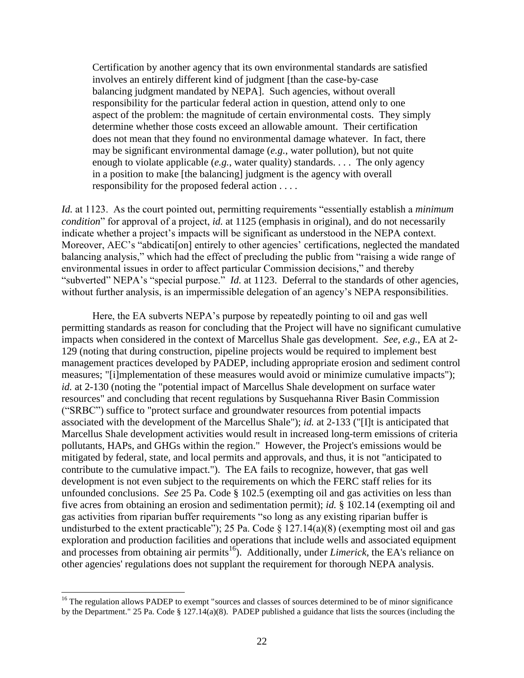Certification by another agency that its own environmental standards are satisfied involves an entirely different kind of judgment [than the case‐by‐case balancing judgment mandated by NEPA]. Such agencies, without overall responsibility for the particular federal action in question, attend only to one aspect of the problem: the magnitude of certain environmental costs. They simply determine whether those costs exceed an allowable amount. Their certification does not mean that they found no environmental damage whatever. In fact, there may be significant environmental damage (*e.g.*, water pollution), but not quite enough to violate applicable (*e.g.*, water quality) standards. . . . The only agency in a position to make [the balancing] judgment is the agency with overall responsibility for the proposed federal action . . . .

*Id.* at 1123. As the court pointed out, permitting requirements "essentially establish a *minimum condition*" for approval of a project, *id.* at 1125 (emphasis in original), and do not necessarily indicate whether a project's impacts will be significant as understood in the NEPA context. Moreover, AEC's "abdication] entirely to other agencies' certifications, neglected the mandated balancing analysis," which had the effect of precluding the public from "raising a wide range of environmental issues in order to affect particular Commission decisions," and thereby "subverted" NEPA's "special purpose." *Id.* at 1123. Deferral to the standards of other agencies, without further analysis, is an impermissible delegation of an agency's NEPA responsibilities.

Here, the EA subverts NEPA's purpose by repeatedly pointing to oil and gas well permitting standards as reason for concluding that the Project will have no significant cumulative impacts when considered in the context of Marcellus Shale gas development. *See, e.g.*, EA at 2- 129 (noting that during construction, pipeline projects would be required to implement best management practices developed by PADEP, including appropriate erosion and sediment control measures; "[i]mplementation of these measures would avoid or minimize cumulative impacts"); *id.* at 2-130 (noting the "potential impact of Marcellus Shale development on surface water resources" and concluding that recent regulations by Susquehanna River Basin Commission ("SRBC") suffice to "protect surface and groundwater resources from potential impacts associated with the development of the Marcellus Shale"); *id.* at 2-133 ("[I]t is anticipated that Marcellus Shale development activities would result in increased long-term emissions of criteria pollutants, HAPs, and GHGs within the region." However, the Project's emissions would be mitigated by federal, state, and local permits and approvals, and thus, it is not "anticipated to contribute to the cumulative impact."). The EA fails to recognize, however, that gas well development is not even subject to the requirements on which the FERC staff relies for its unfounded conclusions. *See* 25 Pa. Code § 102.5 (exempting oil and gas activities on less than five acres from obtaining an erosion and sedimentation permit); *id.* § 102.14 (exempting oil and gas activities from riparian buffer requirements "so long as any existing riparian buffer is undisturbed to the extent practicable"); 25 Pa. Code  $\S$  127.14(a)(8) (exempting most oil and gas exploration and production facilities and operations that include wells and associated equipment and processes from obtaining air permits<sup>16</sup>). Additionally, under *Limerick*, the EA's reliance on other agencies' regulations does not supplant the requirement for thorough NEPA analysis.

<sup>&</sup>lt;sup>16</sup> The regulation allows PADEP to exempt "sources and classes of sources determined to be of minor significance by the Department." 25 Pa. Code § 127.14(a)(8). PADEP published a guidance that lists the sources (including the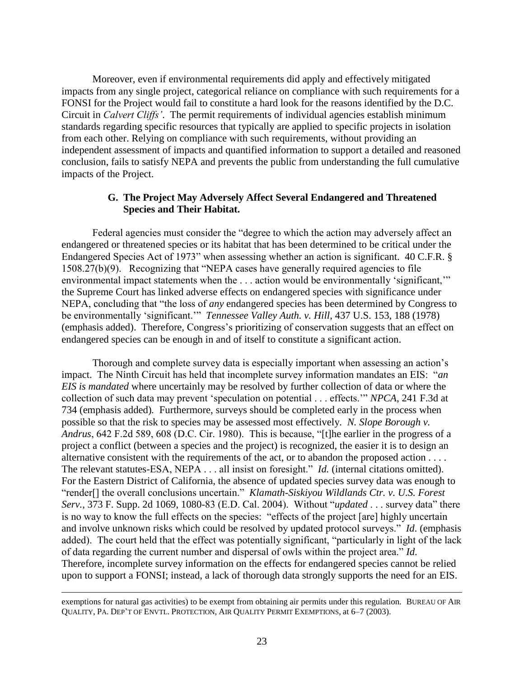Moreover, even if environmental requirements did apply and effectively mitigated impacts from any single project, categorical reliance on compliance with such requirements for a FONSI for the Project would fail to constitute a hard look for the reasons identified by the D.C. Circuit in *Calvert Cliffs'*. The permit requirements of individual agencies establish minimum standards regarding specific resources that typically are applied to specific projects in isolation from each other. Relying on compliance with such requirements, without providing an independent assessment of impacts and quantified information to support a detailed and reasoned conclusion, fails to satisfy NEPA and prevents the public from understanding the full cumulative impacts of the Project.

## **G. The Project May Adversely Affect Several Endangered and Threatened Species and Their Habitat.**

Federal agencies must consider the "degree to which the action may adversely affect an endangered or threatened species or its habitat that has been determined to be critical under the Endangered Species Act of 1973" when assessing whether an action is significant. 40 C.F.R. § 1508.27(b)(9). Recognizing that "NEPA cases have generally required agencies to file environmental impact statements when the . . . action would be environmentally 'significant,'" the Supreme Court has linked adverse effects on endangered species with significance under NEPA, concluding that "the loss of *any* endangered species has been determined by Congress to be environmentally 'significant.'" *Tennessee Valley Auth. v. Hill*, 437 U.S. 153, 188 (1978) (emphasis added). Therefore, Congress's prioritizing of conservation suggests that an effect on endangered species can be enough in and of itself to constitute a significant action.

Thorough and complete survey data is especially important when assessing an action's impact. The Ninth Circuit has held that incomplete survey information mandates an EIS: "*an EIS is mandated* where uncertainly may be resolved by further collection of data or where the collection of such data may prevent 'speculation on potential . . . effects.'" *NPCA*, 241 F.3d at 734 (emphasis added)*.* Furthermore, surveys should be completed early in the process when possible so that the risk to species may be assessed most effectively. *N. Slope Borough v. Andrus*, 642 F.2d 589, 608 (D.C. Cir. 1980). This is because, "[t]he earlier in the progress of a project a conflict (between a species and the project) is recognized, the easier it is to design an alternative consistent with the requirements of the act, or to abandon the proposed action . . . . The relevant statutes-ESA, NEPA . . . all insist on foresight." *Id.* (internal citations omitted). For the Eastern District of California, the absence of updated species survey data was enough to "render[] the overall conclusions uncertain." *Klamath-Siskiyou Wildlands Ctr. v. U.S. Forest Serv.*, 373 F. Supp. 2d 1069, 1080-83 (E.D. Cal. 2004). Without "*updated* . . . survey data" there is no way to know the full effects on the species: "effects of the project [are] highly uncertain and involve unknown risks which could be resolved by updated protocol surveys." *Id*. (emphasis added). The court held that the effect was potentially significant, "particularly in light of the lack of data regarding the current number and dispersal of owls within the project area." *Id*. Therefore, incomplete survey information on the effects for endangered species cannot be relied upon to support a FONSI; instead, a lack of thorough data strongly supports the need for an EIS.

exemptions for natural gas activities) to be exempt from obtaining air permits under this regulation. BUREAU OF AIR QUALITY, PA. DEP'T OF ENVTL. PROTECTION, AIR QUALITY PERMIT EXEMPTIONS, at 6–7 (2003).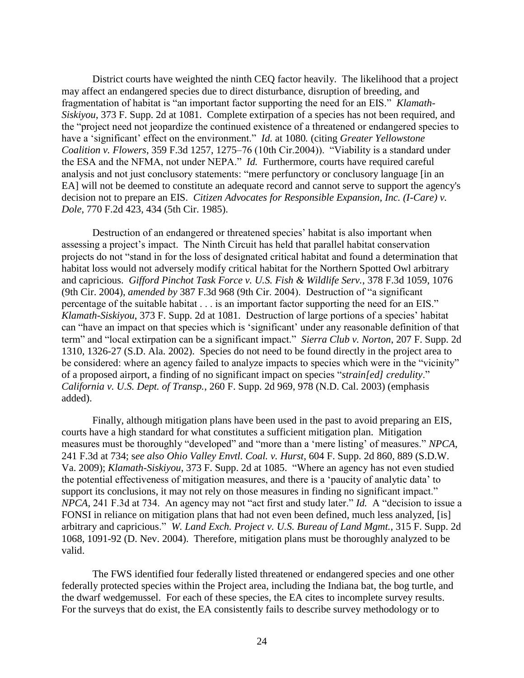District courts have weighted the ninth CEQ factor heavily. The likelihood that a project may affect an endangered species due to direct disturbance, disruption of breeding, and fragmentation of habitat is "an important factor supporting the need for an EIS." *Klamath-Siskiyou*, 373 F. Supp. 2d at 1081. Complete extirpation of a species has not been required, and the "project need not jeopardize the continued existence of a threatened or endangered species to have a 'significant' effect on the environment." *Id.* at 1080*.* (citing *Greater Yellowstone Coalition v. Flowers*, 359 F.3d 1257, 1275–76 (10th Cir.2004)). "Viability is a standard under the ESA and the NFMA, not under NEPA." *Id.* Furthermore, courts have required careful analysis and not just conclusory statements: "mere perfunctory or conclusory language [in an EA] will not be deemed to constitute an adequate record and cannot serve to support the agency's decision not to prepare an EIS. *Citizen Advocates for Responsible Expansion, Inc. (I-Care) v. Dole*, 770 F.2d 423, 434 (5th Cir. 1985).

Destruction of an endangered or threatened species' habitat is also important when assessing a project's impact. The Ninth Circuit has held that parallel habitat conservation projects do not "stand in for the loss of designated critical habitat and found a determination that habitat loss would not adversely modify critical habitat for the Northern Spotted Owl arbitrary and capricious. *Gifford Pinchot Task Force v. U.S. Fish & Wildlife Serv.*, 378 F.3d 1059, 1076 (9th Cir. 2004), *amended by* 387 F.3d 968 (9th Cir. 2004). Destruction of "a significant percentage of the suitable habitat . . . is an important factor supporting the need for an EIS." *Klamath-Siskiyou*, 373 F. Supp. 2d at 1081. Destruction of large portions of a species' habitat can "have an impact on that species which is 'significant' under any reasonable definition of that term" and "local extirpation can be a significant impact." *Sierra Club v. Norton*, 207 F. Supp. 2d 1310, 1326-27 (S.D. Ala. 2002). Species do not need to be found directly in the project area to be considered: where an agency failed to analyze impacts to species which were in the "vicinity" of a proposed airport, a finding of no significant impact on species "*strain[ed] credulity*." *California v. U.S. Dept. of Transp.*, 260 F. Supp. 2d 969, 978 (N.D. Cal. 2003) (emphasis added).

Finally, although mitigation plans have been used in the past to avoid preparing an EIS, courts have a high standard for what constitutes a sufficient mitigation plan. Mitigation measures must be thoroughly "developed" and "more than a 'mere listing' of measures." *NPCA*, 241 F.3d at 734; s*ee also Ohio Valley Envtl. Coal. v. Hurst*, 604 F. Supp. 2d 860, 889 (S.D.W. Va. 2009); *Klamath-Siskiyou*, 373 F. Supp. 2d at 1085. "Where an agency has not even studied the potential effectiveness of mitigation measures, and there is a 'paucity of analytic data' to support its conclusions, it may not rely on those measures in finding no significant impact." *NPCA,* 241 F.3d at 734. An agency may not "act first and study later." *Id.* A "decision to issue a FONSI in reliance on mitigation plans that had not even been defined, much less analyzed, [is] arbitrary and capricious." *W. Land Exch. Project v. U.S. Bureau of Land Mgmt.*, 315 F. Supp. 2d 1068, 1091-92 (D. Nev. 2004). Therefore, mitigation plans must be thoroughly analyzed to be valid.

The FWS identified four federally listed threatened or endangered species and one other federally protected species within the Project area, including the Indiana bat, the bog turtle, and the dwarf wedgemussel. For each of these species, the EA cites to incomplete survey results. For the surveys that do exist, the EA consistently fails to describe survey methodology or to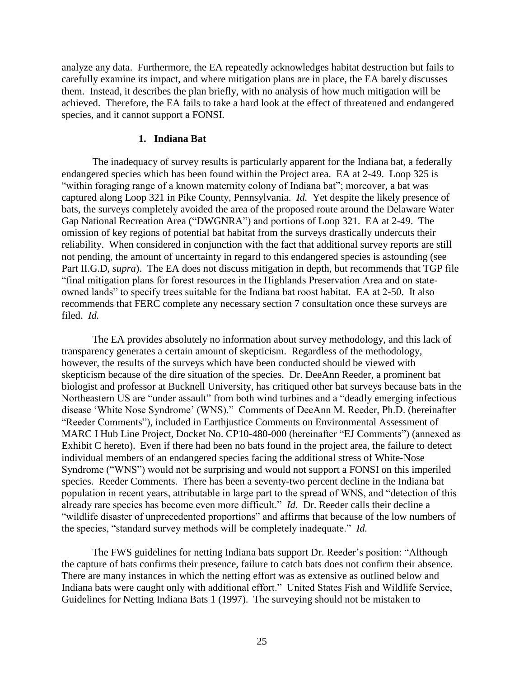analyze any data. Furthermore, the EA repeatedly acknowledges habitat destruction but fails to carefully examine its impact, and where mitigation plans are in place, the EA barely discusses them. Instead, it describes the plan briefly, with no analysis of how much mitigation will be achieved. Therefore, the EA fails to take a hard look at the effect of threatened and endangered species, and it cannot support a FONSI.

#### **1. Indiana Bat**

The inadequacy of survey results is particularly apparent for the Indiana bat, a federally endangered species which has been found within the Project area. EA at 2-49. Loop 325 is "within foraging range of a known maternity colony of Indiana bat"; moreover, a bat was captured along Loop 321 in Pike County, Pennsylvania. *Id.* Yet despite the likely presence of bats, the surveys completely avoided the area of the proposed route around the Delaware Water Gap National Recreation Area ("DWGNRA") and portions of Loop 321. EA at 2-49. The omission of key regions of potential bat habitat from the surveys drastically undercuts their reliability. When considered in conjunction with the fact that additional survey reports are still not pending, the amount of uncertainty in regard to this endangered species is astounding (see Part II.G.D, *supra*). The EA does not discuss mitigation in depth, but recommends that TGP file "final mitigation plans for forest resources in the Highlands Preservation Area and on stateowned lands" to specify trees suitable for the Indiana bat roost habitat. EA at 2-50. It also recommends that FERC complete any necessary section 7 consultation once these surveys are filed. *Id.*

The EA provides absolutely no information about survey methodology, and this lack of transparency generates a certain amount of skepticism. Regardless of the methodology, however, the results of the surveys which have been conducted should be viewed with skepticism because of the dire situation of the species. Dr. DeeAnn Reeder, a prominent bat biologist and professor at Bucknell University, has critiqued other bat surveys because bats in the Northeastern US are "under assault" from both wind turbines and a "deadly emerging infectious disease 'White Nose Syndrome' (WNS)." Comments of DeeAnn M. Reeder, Ph.D. (hereinafter "Reeder Comments"), included in Earthjustice Comments on Environmental Assessment of MARC I Hub Line Project, Docket No. CP10-480-000 (hereinafter "EJ Comments") (annexed as Exhibit C hereto).Even if there had been no bats found in the project area, the failure to detect individual members of an endangered species facing the additional stress of White‐Nose Syndrome ("WNS") would not be surprising and would not support a FONSI on this imperiled species. Reeder Comments. There has been a seventy-two percent decline in the Indiana bat population in recent years, attributable in large part to the spread of WNS, and "detection of this already rare species has become even more difficult." *Id.* Dr. Reeder calls their decline a "wildlife disaster of unprecedented proportions" and affirms that because of the low numbers of the species, "standard survey methods will be completely inadequate." *Id.*

The FWS guidelines for netting Indiana bats support Dr. Reeder's position: "Although the capture of bats confirms their presence, failure to catch bats does not confirm their absence. There are many instances in which the netting effort was as extensive as outlined below and Indiana bats were caught only with additional effort." United States Fish and Wildlife Service, Guidelines for Netting Indiana Bats 1 (1997). The surveying should not be mistaken to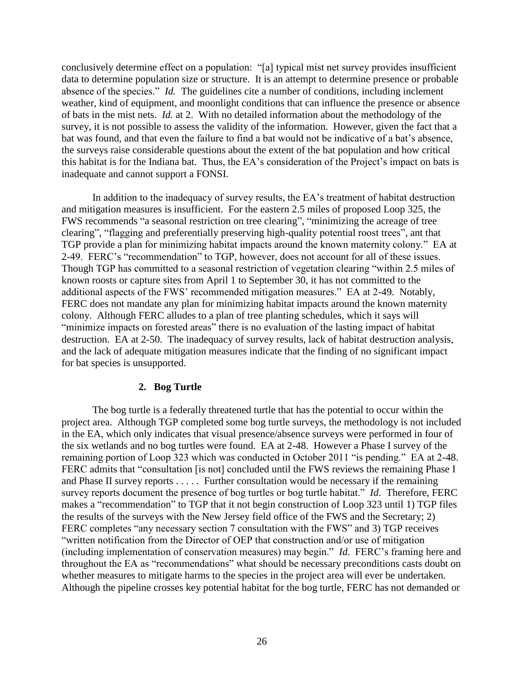conclusively determine effect on a population: "[a] typical mist net survey provides insufficient data to determine population size or structure. It is an attempt to determine presence or probable absence of the species." *Id.* The guidelines cite a number of conditions, including inclement weather, kind of equipment, and moonlight conditions that can influence the presence or absence of bats in the mist nets. *Id.* at 2. With no detailed information about the methodology of the survey, it is not possible to assess the validity of the information. However, given the fact that a bat was found, and that even the failure to find a bat would not be indicative of a bat's absence, the surveys raise considerable questions about the extent of the bat population and how critical this habitat is for the Indiana bat. Thus, the EA's consideration of the Project's impact on bats is inadequate and cannot support a FONSI.

In addition to the inadequacy of survey results, the EA's treatment of habitat destruction and mitigation measures is insufficient. For the eastern 2.5 miles of proposed Loop 325, the FWS recommends "a seasonal restriction on tree clearing", "minimizing the acreage of tree clearing", "flagging and preferentially preserving high-quality potential roost trees", ant that TGP provide a plan for minimizing habitat impacts around the known maternity colony." EA at 2-49. FERC's "recommendation" to TGP, however, does not account for all of these issues. Though TGP has committed to a seasonal restriction of vegetation clearing "within 2.5 miles of known roosts or capture sites from April 1 to September 30, it has not committed to the additional aspects of the FWS' recommended mitigation measures." EA at 2-49. Notably, FERC does not mandate any plan for minimizing habitat impacts around the known maternity colony. Although FERC alludes to a plan of tree planting schedules, which it says will "minimize impacts on forested areas" there is no evaluation of the lasting impact of habitat destruction. EA at 2-50. The inadequacy of survey results, lack of habitat destruction analysis, and the lack of adequate mitigation measures indicate that the finding of no significant impact for bat species is unsupported.

## **2. Bog Turtle**

The bog turtle is a federally threatened turtle that has the potential to occur within the project area. Although TGP completed some bog turtle surveys, the methodology is not included in the EA, which only indicates that visual presence/absence surveys were performed in four of the six wetlands and no bog turtles were found. EA at 2-48. However a Phase I survey of the remaining portion of Loop 323 which was conducted in October 2011 "is pending." EA at 2-48. FERC admits that "consultation [is not] concluded until the FWS reviews the remaining Phase I and Phase II survey reports . . . . . Further consultation would be necessary if the remaining survey reports document the presence of bog turtles or bog turtle habitat." *Id.* Therefore, FERC makes a "recommendation" to TGP that it not begin construction of Loop 323 until 1) TGP files the results of the surveys with the New Jersey field office of the FWS and the Secretary; 2) FERC completes "any necessary section 7 consultation with the FWS" and 3) TGP receives "written notification from the Director of OEP that construction and/or use of mitigation (including implementation of conservation measures) may begin." *Id.* FERC's framing here and throughout the EA as "recommendations" what should be necessary preconditions casts doubt on whether measures to mitigate harms to the species in the project area will ever be undertaken. Although the pipeline crosses key potential habitat for the bog turtle, FERC has not demanded or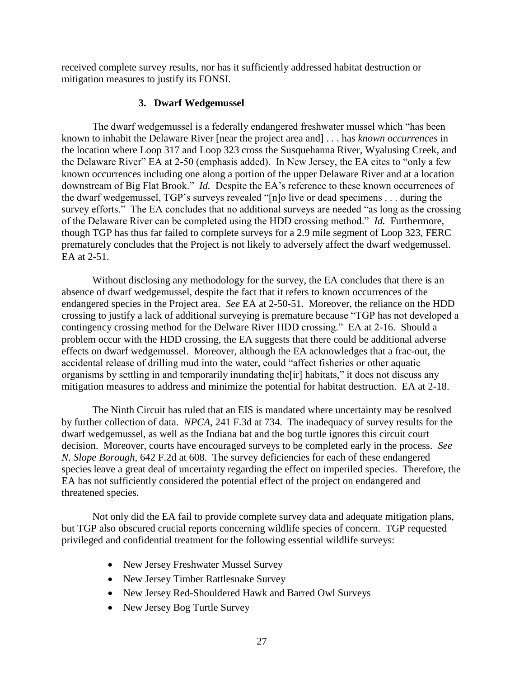received complete survey results, nor has it sufficiently addressed habitat destruction or mitigation measures to justify its FONSI.

# **3. Dwarf Wedgemussel**

The dwarf wedgemussel is a federally endangered freshwater mussel which "has been known to inhabit the Delaware River [near the project area and] . . . has *known occurrences* in the location where Loop 317 and Loop 323 cross the Susquehanna River, Wyalusing Creek, and the Delaware River" EA at 2-50 (emphasis added). In New Jersey, the EA cites to "only a few known occurrences including one along a portion of the upper Delaware River and at a location downstream of Big Flat Brook." *Id.* Despite the EA's reference to these known occurrences of the dwarf wedgemussel, TGP's surveys revealed "[n]o live or dead specimens . . . during the survey efforts." The EA concludes that no additional surveys are needed "as long as the crossing of the Delaware River can be completed using the HDD crossing method." *Id.* Furthermore, though TGP has thus far failed to complete surveys for a 2.9 mile segment of Loop 323, FERC prematurely concludes that the Project is not likely to adversely affect the dwarf wedgemussel. EA at 2-51.

Without disclosing any methodology for the survey, the EA concludes that there is an absence of dwarf wedgemussel, despite the fact that it refers to known occurrences of the endangered species in the Project area. *See* EA at 2-50-51. Moreover, the reliance on the HDD crossing to justify a lack of additional surveying is premature because "TGP has not developed a contingency crossing method for the Delware River HDD crossing." EA at 2-16. Should a problem occur with the HDD crossing, the EA suggests that there could be additional adverse effects on dwarf wedgemussel. Moreover, although the EA acknowledges that a frac-out, the accidental release of drilling mud into the water, could "affect fisheries or other aquatic organisms by settling in and temporarily inundating the[ir] habitats," it does not discuss any mitigation measures to address and minimize the potential for habitat destruction. EA at 2-18.

The Ninth Circuit has ruled that an EIS is mandated where uncertainty may be resolved by further collection of data. *NPCA*, 241 F.3d at 734. The inadequacy of survey results for the dwarf wedgemussel, as well as the Indiana bat and the bog turtle ignores this circuit court decision. Moreover, courts have encouraged surveys to be completed early in the process. *See N. Slope Borough*, 642 F.2d at 608. The survey deficiencies for each of these endangered species leave a great deal of uncertainty regarding the effect on imperiled species. Therefore, the EA has not sufficiently considered the potential effect of the project on endangered and threatened species.

Not only did the EA fail to provide complete survey data and adequate mitigation plans, but TGP also obscured crucial reports concerning wildlife species of concern. TGP requested privileged and confidential treatment for the following essential wildlife surveys:

- New Jersey Freshwater Mussel Survey
- New Jersey Timber Rattlesnake Survey
- New Jersey Red-Shouldered Hawk and Barred Owl Surveys
- New Jersey Bog Turtle Survey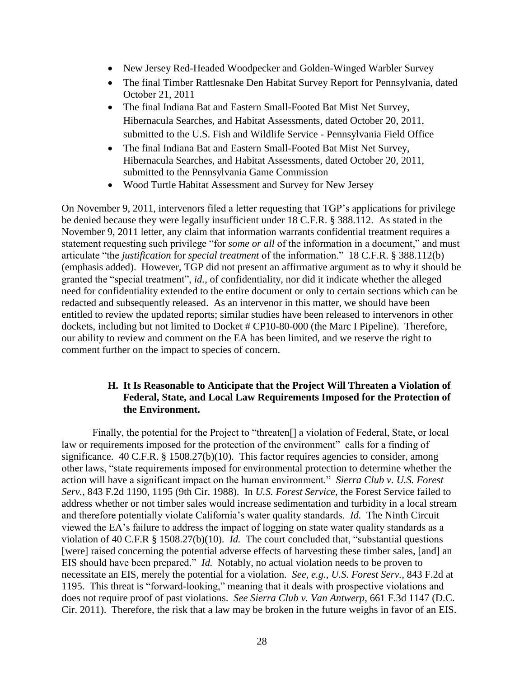- New Jersey Red-Headed Woodpecker and Golden-Winged Warbler Survey
- The final Timber Rattlesnake Den Habitat Survey Report for Pennsylvania, dated October 21, 2011
- The final Indiana Bat and Eastern Small-Footed Bat Mist Net Survey, Hibernacula Searches, and Habitat Assessments, dated October 20, 2011, submitted to the U.S. Fish and Wildlife Service - Pennsylvania Field Office
- The final Indiana Bat and Eastern Small-Footed Bat Mist Net Survey, Hibernacula Searches, and Habitat Assessments, dated October 20, 2011, submitted to the Pennsylvania Game Commission
- Wood Turtle Habitat Assessment and Survey for New Jersey

On November 9, 2011, intervenors filed a letter requesting that TGP's applications for privilege be denied because they were legally insufficient under 18 C.F.R. § 388.112. As stated in the November 9, 2011 letter, any claim that information warrants confidential treatment requires a statement requesting such privilege "for *some or all* of the information in a document," and must articulate "the *justification* for *special treatment* of the information." 18 C.F.R. § 388.112(b) (emphasis added). However, TGP did not present an affirmative argument as to why it should be granted the "special treatment", *id.*, of confidentiality, nor did it indicate whether the alleged need for confidentiality extended to the entire document or only to certain sections which can be redacted and subsequently released. As an intervenor in this matter, we should have been entitled to review the updated reports; similar studies have been released to intervenors in other dockets, including but not limited to Docket # CP10-80-000 (the Marc I Pipeline). Therefore, our ability to review and comment on the EA has been limited, and we reserve the right to comment further on the impact to species of concern.

# **H. It Is Reasonable to Anticipate that the Project Will Threaten a Violation of Federal, State, and Local Law Requirements Imposed for the Protection of the Environment.**

Finally, the potential for the Project to "threaten<sup>[]</sup> a violation of Federal, State, or local law or requirements imposed for the protection of the environment" calls for a finding of significance. 40 C.F.R. § 1508.27(b)(10). This factor requires agencies to consider, among other laws, "state requirements imposed for environmental protection to determine whether the action will have a significant impact on the human environment." *Sierra Club v. U.S. Forest Serv.*, 843 F.2d 1190, 1195 (9th Cir. 1988). In *U.S. Forest Service*, the Forest Service failed to address whether or not timber sales would increase sedimentation and turbidity in a local stream and therefore potentially violate California's water quality standards. *Id.* The Ninth Circuit viewed the EA's failure to address the impact of logging on state water quality standards as a violation of 40 C.F.R § 1508.27(b)(10). *Id.* The court concluded that, "substantial questions [were] raised concerning the potential adverse effects of harvesting these timber sales, [and] an EIS should have been prepared." *Id.* Notably, no actual violation needs to be proven to necessitate an EIS, merely the potential for a violation. *See, e.g.*, *U.S. Forest Serv.*, 843 F.2d at 1195. This threat is "forward-looking," meaning that it deals with prospective violations and does not require proof of past violations. *See Sierra Club v. Van Antwerp*, 661 F.3d 1147 (D.C. Cir. 2011). Therefore, the risk that a law may be broken in the future weighs in favor of an EIS.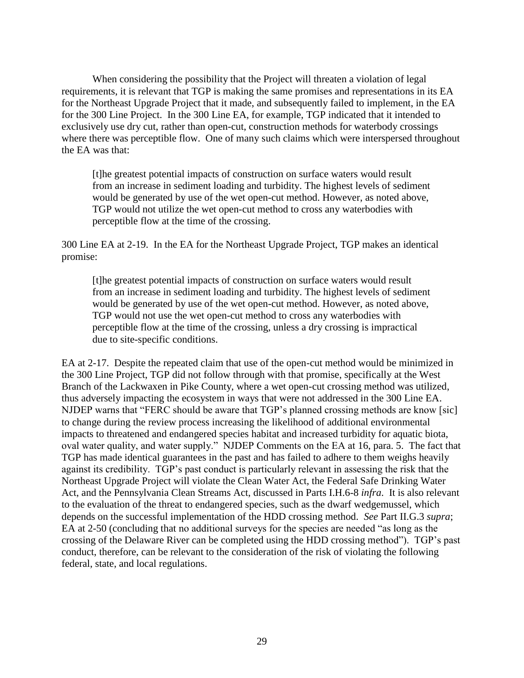When considering the possibility that the Project will threaten a violation of legal requirements, it is relevant that TGP is making the same promises and representations in its EA for the Northeast Upgrade Project that it made, and subsequently failed to implement, in the EA for the 300 Line Project. In the 300 Line EA, for example, TGP indicated that it intended to exclusively use dry cut, rather than open-cut, construction methods for waterbody crossings where there was perceptible flow. One of many such claims which were interspersed throughout the EA was that:

[t]he greatest potential impacts of construction on surface waters would result from an increase in sediment loading and turbidity. The highest levels of sediment would be generated by use of the wet open-cut method. However, as noted above, TGP would not utilize the wet open-cut method to cross any waterbodies with perceptible flow at the time of the crossing.

300 Line EA at 2-19. In the EA for the Northeast Upgrade Project, TGP makes an identical promise:

[t]he greatest potential impacts of construction on surface waters would result from an increase in sediment loading and turbidity. The highest levels of sediment would be generated by use of the wet open-cut method. However, as noted above, TGP would not use the wet open-cut method to cross any waterbodies with perceptible flow at the time of the crossing, unless a dry crossing is impractical due to site-specific conditions.

EA at 2-17. Despite the repeated claim that use of the open-cut method would be minimized in the 300 Line Project, TGP did not follow through with that promise, specifically at the West Branch of the Lackwaxen in Pike County, where a wet open-cut crossing method was utilized, thus adversely impacting the ecosystem in ways that were not addressed in the 300 Line EA. NJDEP warns that "FERC should be aware that TGP's planned crossing methods are know [sic] to change during the review process increasing the likelihood of additional environmental impacts to threatened and endangered species habitat and increased turbidity for aquatic biota, oval water quality, and water supply." NJDEP Comments on the EA at 16, para. 5. The fact that TGP has made identical guarantees in the past and has failed to adhere to them weighs heavily against its credibility. TGP's past conduct is particularly relevant in assessing the risk that the Northeast Upgrade Project will violate the Clean Water Act, the Federal Safe Drinking Water Act, and the Pennsylvania Clean Streams Act, discussed in Parts I.H.6-8 *infra*. It is also relevant to the evaluation of the threat to endangered species, such as the dwarf wedgemussel, which depends on the successful implementation of the HDD crossing method. *See* Part II.G.3 *supra*; EA at 2-50 (concluding that no additional surveys for the species are needed "as long as the crossing of the Delaware River can be completed using the HDD crossing method"). TGP's past conduct, therefore, can be relevant to the consideration of the risk of violating the following federal, state, and local regulations.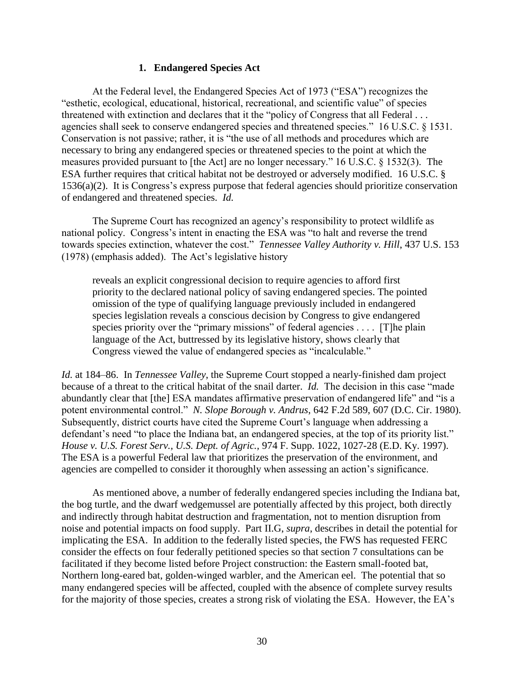#### **1. Endangered Species Act**

At the Federal level, the Endangered Species Act of 1973 ("ESA") recognizes the "esthetic, ecological, educational, historical, recreational, and scientific value" of species threatened with extinction and declares that it the "policy of Congress that all Federal . . . agencies shall seek to conserve endangered species and threatened species." 16 U.S.C. § 1531. Conservation is not passive; rather, it is "the use of all methods and procedures which are necessary to bring any endangered species or threatened species to the point at which the measures provided pursuant to [the Act] are no longer necessary." 16 U.S.C. § 1532(3). The ESA further requires that critical habitat not be destroyed or adversely modified. 16 U.S.C. § 1536(a)(2). It is Congress's express purpose that federal agencies should prioritize conservation of endangered and threatened species. *Id.*

The Supreme Court has recognized an agency's responsibility to protect wildlife as national policy. Congress's intent in enacting the ESA was "to halt and reverse the trend towards species extinction, whatever the cost." *Tennessee Valley Authority v. Hill*, 437 U.S. 153 (1978) (emphasis added). The Act's legislative history

reveals an explicit congressional decision to require agencies to afford first priority to the declared national policy of saving endangered species. The pointed omission of the type of qualifying language previously included in endangered species legislation reveals a conscious decision by Congress to give endangered species priority over the "primary missions" of federal agencies . . . . [T]he plain language of the Act, buttressed by its legislative history, shows clearly that Congress viewed the value of endangered species as "incalculable."

*Id.* at 184–86. In *Tennessee Valley*, the Supreme Court stopped a nearly-finished dam project because of a threat to the critical habitat of the snail darter. *Id.* The decision in this case "made abundantly clear that [the] ESA mandates affirmative preservation of endangered life" and "is a potent environmental control." *N. Slope Borough v. Andrus*, 642 F.2d 589, 607 (D.C. Cir. 1980). Subsequently, district courts have cited the Supreme Court's language when addressing a defendant's need "to place the Indiana bat, an endangered species, at the top of its priority list." *House v. U.S. Forest Serv., U.S. Dept. of Agric.,* 974 F. Supp. 1022, 1027-28 (E.D. Ky. 1997). The ESA is a powerful Federal law that prioritizes the preservation of the environment, and agencies are compelled to consider it thoroughly when assessing an action's significance.

As mentioned above, a number of federally endangered species including the Indiana bat, the bog turtle, and the dwarf wedgemussel are potentially affected by this project, both directly and indirectly through habitat destruction and fragmentation, not to mention disruption from noise and potential impacts on food supply. Part II.G, *supra*, describes in detail the potential for implicating the ESA. In addition to the federally listed species, the FWS has requested FERC consider the effects on four federally petitioned species so that section 7 consultations can be facilitated if they become listed before Project construction: the Eastern small-footed bat, Northern long-eared bat, golden-winged warbler, and the American eel. The potential that so many endangered species will be affected, coupled with the absence of complete survey results for the majority of those species, creates a strong risk of violating the ESA. However, the EA's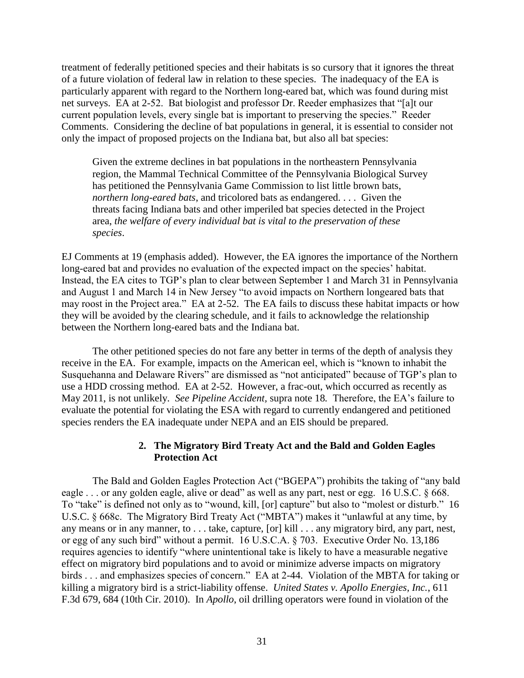treatment of federally petitioned species and their habitats is so cursory that it ignores the threat of a future violation of federal law in relation to these species. The inadequacy of the EA is particularly apparent with regard to the Northern long-eared bat, which was found during mist net surveys. EA at 2-52. Bat biologist and professor Dr. Reeder emphasizes that "[a]t our current population levels, every single bat is important to preserving the species." Reeder Comments. Considering the decline of bat populations in general, it is essential to consider not only the impact of proposed projects on the Indiana bat, but also all bat species:

Given the extreme declines in bat populations in the northeastern Pennsylvania region, the Mammal Technical Committee of the Pennsylvania Biological Survey has petitioned the Pennsylvania Game Commission to list little brown bats, *northern long-eared bats*, and tricolored bats as endangered. . . . Given the threats facing Indiana bats and other imperiled bat species detected in the Project area, *the welfare of every individual bat is vital to the preservation of these species*.

EJ Comments at 19 (emphasis added). However, the EA ignores the importance of the Northern long-eared bat and provides no evaluation of the expected impact on the species' habitat. Instead, the EA cites to TGP's plan to clear between September 1 and March 31 in Pennsylvania and August 1 and March 14 in New Jersey "to avoid impacts on Northern longeared bats that may roost in the Project area." EA at 2-52. The EA fails to discuss these habitat impacts or how they will be avoided by the clearing schedule, and it fails to acknowledge the relationship between the Northern long-eared bats and the Indiana bat.

The other petitioned species do not fare any better in terms of the depth of analysis they receive in the EA. For example, impacts on the American eel, which is "known to inhabit the Susquehanna and Delaware Rivers" are dismissed as "not anticipated" because of TGP's plan to use a HDD crossing method. EA at 2-52. However, a frac-out, which occurred as recently as May 2011, is not unlikely. *See Pipeline Accident,* supra note 18*.* Therefore, the EA's failure to evaluate the potential for violating the ESA with regard to currently endangered and petitioned species renders the EA inadequate under NEPA and an EIS should be prepared.

# **2. The Migratory Bird Treaty Act and the Bald and Golden Eagles Protection Act**

The Bald and Golden Eagles Protection Act ("BGEPA") prohibits the taking of "any bald eagle . . . or any golden eagle, alive or dead" as well as any part, nest or egg. 16 U.S.C. § 668. To "take" is defined not only as to "wound, kill, [or] capture" but also to "molest or disturb." 16 U.S.C. § 668c. The Migratory Bird Treaty Act ("MBTA") makes it "unlawful at any time, by any means or in any manner, to . . . take, capture, [or] kill . . . any migratory bird, any part, nest, or egg of any such bird" without a permit. 16 U.S.C.A. § 703. Executive Order No. 13,186 requires agencies to identify "where unintentional take is likely to have a measurable negative effect on migratory bird populations and to avoid or minimize adverse impacts on migratory birds . . . and emphasizes species of concern." EA at 2-44. Violation of the MBTA for taking or killing a migratory bird is a strict-liability offense. *United States v. Apollo Energies, Inc.*, 611 F.3d 679, 684 (10th Cir. 2010). In *Apollo*, oil drilling operators were found in violation of the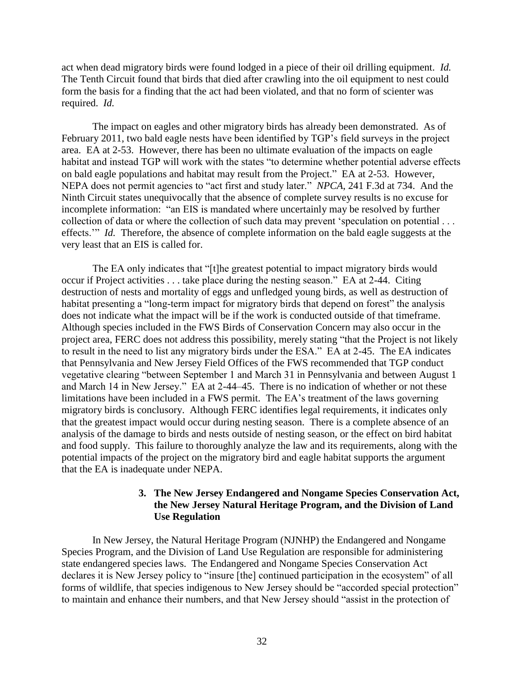act when dead migratory birds were found lodged in a piece of their oil drilling equipment. *Id.* The Tenth Circuit found that birds that died after crawling into the oil equipment to nest could form the basis for a finding that the act had been violated, and that no form of scienter was required. *Id.*

The impact on eagles and other migratory birds has already been demonstrated. As of February 2011, two bald eagle nests have been identified by TGP's field surveys in the project area. EA at 2-53. However, there has been no ultimate evaluation of the impacts on eagle habitat and instead TGP will work with the states "to determine whether potential adverse effects on bald eagle populations and habitat may result from the Project." EA at 2-53. However, NEPA does not permit agencies to "act first and study later." *NPCA*, 241 F.3d at 734. And the Ninth Circuit states unequivocally that the absence of complete survey results is no excuse for incomplete information: "an EIS is mandated where uncertainly may be resolved by further collection of data or where the collection of such data may prevent 'speculation on potential . . . effects.'" *Id.* Therefore, the absence of complete information on the bald eagle suggests at the very least that an EIS is called for.

The EA only indicates that "[t]he greatest potential to impact migratory birds would occur if Project activities . . . take place during the nesting season." EA at 2-44. Citing destruction of nests and mortality of eggs and unfledged young birds, as well as destruction of habitat presenting a "long-term impact for migratory birds that depend on forest" the analysis does not indicate what the impact will be if the work is conducted outside of that timeframe. Although species included in the FWS Birds of Conservation Concern may also occur in the project area, FERC does not address this possibility, merely stating "that the Project is not likely to result in the need to list any migratory birds under the ESA." EA at 2-45. The EA indicates that Pennsylvania and New Jersey Field Offices of the FWS recommended that TGP conduct vegetative clearing "between September 1 and March 31 in Pennsylvania and between August 1 and March 14 in New Jersey." EA at 2-44–45. There is no indication of whether or not these limitations have been included in a FWS permit. The EA's treatment of the laws governing migratory birds is conclusory. Although FERC identifies legal requirements, it indicates only that the greatest impact would occur during nesting season. There is a complete absence of an analysis of the damage to birds and nests outside of nesting season, or the effect on bird habitat and food supply. This failure to thoroughly analyze the law and its requirements, along with the potential impacts of the project on the migratory bird and eagle habitat supports the argument that the EA is inadequate under NEPA.

#### **3. The New Jersey Endangered and Nongame Species Conservation Act, the New Jersey Natural Heritage Program, and the Division of Land Use Regulation**

In New Jersey, the Natural Heritage Program (NJNHP) the Endangered and Nongame Species Program, and the Division of Land Use Regulation are responsible for administering state endangered species laws. The Endangered and Nongame Species Conservation Act declares it is New Jersey policy to "insure [the] continued participation in the ecosystem" of all forms of wildlife, that species indigenous to New Jersey should be "accorded special protection" to maintain and enhance their numbers, and that New Jersey should "assist in the protection of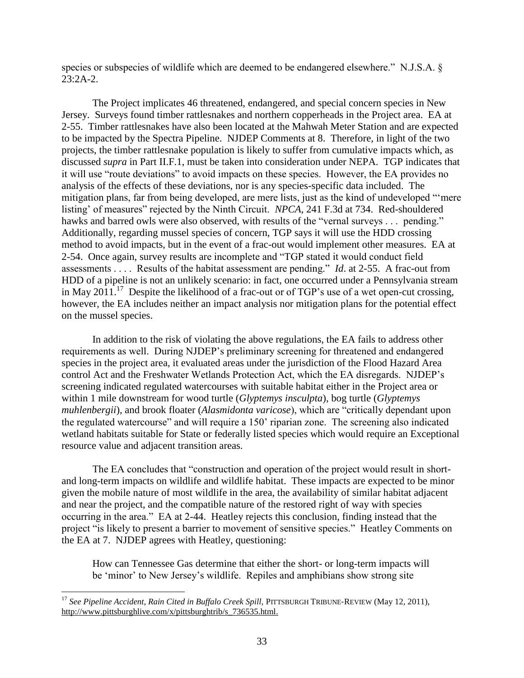species or subspecies of wildlife which are deemed to be endangered elsewhere." N.J.S.A. § 23:2A-2.

The Project implicates 46 threatened, endangered, and special concern species in New Jersey. Surveys found timber rattlesnakes and northern copperheads in the Project area. EA at 2-55. Timber rattlesnakes have also been located at the Mahwah Meter Station and are expected to be impacted by the Spectra Pipeline. NJDEP Comments at 8. Therefore, in light of the two projects, the timber rattlesnake population is likely to suffer from cumulative impacts which, as discussed *supra* in Part II.F.1, must be taken into consideration under NEPA. TGP indicates that it will use "route deviations" to avoid impacts on these species. However, the EA provides no analysis of the effects of these deviations, nor is any species-specific data included. The mitigation plans, far from being developed, are mere lists, just as the kind of undeveloped "'mere listing' of measures" rejected by the Ninth Circuit. *NPCA,* 241 F.3d at 734. Red-shouldered hawks and barred owls were also observed, with results of the "vernal surveys . . . pending." Additionally, regarding mussel species of concern, TGP says it will use the HDD crossing method to avoid impacts, but in the event of a frac-out would implement other measures. EA at 2-54. Once again, survey results are incomplete and "TGP stated it would conduct field assessments . . . . Results of the habitat assessment are pending." *Id*. at 2-55. A frac-out from HDD of a pipeline is not an unlikely scenario: in fact, one occurred under a Pennsylvania stream in May 2011.<sup>17</sup> Despite the likelihood of a frac-out or of TGP's use of a wet open-cut crossing, however, the EA includes neither an impact analysis nor mitigation plans for the potential effect on the mussel species.

In addition to the risk of violating the above regulations, the EA fails to address other requirements as well. During NJDEP's preliminary screening for threatened and endangered species in the project area, it evaluated areas under the jurisdiction of the Flood Hazard Area control Act and the Freshwater Wetlands Protection Act, which the EA disregards. NJDEP's screening indicated regulated watercourses with suitable habitat either in the Project area or within 1 mile downstream for wood turtle (*Glyptemys insculpta*), bog turtle (*Glyptemys muhlenbergii*), and brook floater (*Alasmidonta varicose*), which are "critically dependant upon the regulated watercourse" and will require a 150' riparian zone. The screening also indicated wetland habitats suitable for State or federally listed species which would require an Exceptional resource value and adjacent transition areas.

The EA concludes that "construction and operation of the project would result in shortand long-term impacts on wildlife and wildlife habitat. These impacts are expected to be minor given the mobile nature of most wildlife in the area, the availability of similar habitat adjacent and near the project, and the compatible nature of the restored right of way with species occurring in the area." EA at 2-44. Heatley rejects this conclusion, finding instead that the project "is likely to present a barrier to movement of sensitive species." Heatley Comments on the EA at 7. NJDEP agrees with Heatley, questioning:

How can Tennessee Gas determine that either the short- or long-term impacts will be 'minor' to New Jersey's wildlife. Repiles and amphibians show strong site

 $\overline{\phantom{a}}$ 

<sup>&</sup>lt;sup>17</sup> See Pipeline Accident, Rain Cited in Buffalo Creek Spill, PITTSBURGH TRIBUNE-REVIEW (May 12, 2011), [http://www.pittsburghlive.com/x/pittsburghtrib/s\\_736535.html.](http://www.pittsburghlive.com/x/pittsburghtrib/s_736535.html)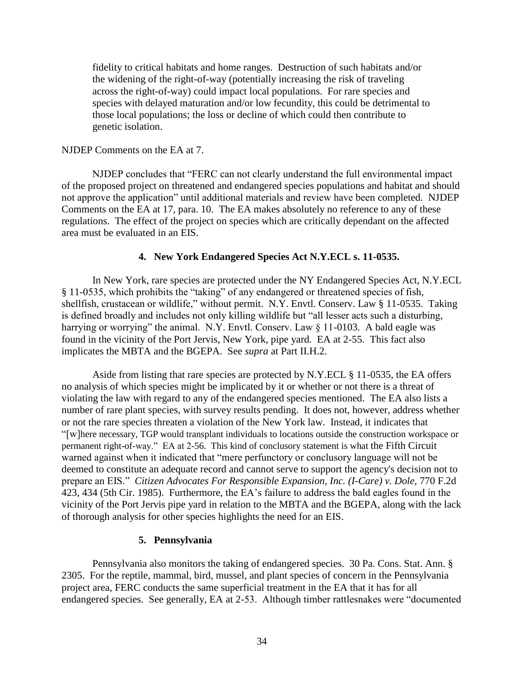fidelity to critical habitats and home ranges. Destruction of such habitats and/or the widening of the right-of-way (potentially increasing the risk of traveling across the right-of-way) could impact local populations. For rare species and species with delayed maturation and/or low fecundity, this could be detrimental to those local populations; the loss or decline of which could then contribute to genetic isolation.

#### NJDEP Comments on the EA at 7.

NJDEP concludes that "FERC can not clearly understand the full environmental impact of the proposed project on threatened and endangered species populations and habitat and should not approve the application" until additional materials and review have been completed. NJDEP Comments on the EA at 17, para. 10. The EA makes absolutely no reference to any of these regulations. The effect of the project on species which are critically dependant on the affected area must be evaluated in an EIS.

#### **4. New York Endangered Species Act N.Y.ECL s. 11-0535.**

In New York, rare species are protected under the NY Endangered Species Act, N.Y.ECL § 11-0535, which prohibits the "taking" of any endangered or threatened species of fish, shellfish, crustacean or wildlife," without permit. N.Y. Envtl. Conserv. Law § 11-0535. Taking is defined broadly and includes not only killing wildlife but "all lesser acts such a disturbing, harrying or worrying" the animal. N.Y. Envtl. Conserv. Law § 11-0103. A bald eagle was found in the vicinity of the Port Jervis, New York, pipe yard. EA at 2-55. This fact also implicates the MBTA and the BGEPA. See *supra* at Part II.H.2.

Aside from listing that rare species are protected by N.Y.ECL § 11-0535, the EA offers no analysis of which species might be implicated by it or whether or not there is a threat of violating the law with regard to any of the endangered species mentioned. The EA also lists a number of rare plant species, with survey results pending. It does not, however, address whether or not the rare species threaten a violation of the New York law. Instead, it indicates that "[w]here necessary, TGP would transplant individuals to locations outside the construction workspace or permanent right-of-way." EA at 2-56. This kind of conclusory statement is what the Fifth Circuit warned against when it indicated that "mere perfunctory or conclusory language will not be deemed to constitute an adequate record and cannot serve to support the agency's decision not to prepare an EIS." *Citizen Advocates For Responsible Expansion, Inc. (I-Care) v. Dole*, 770 F.2d 423, 434 (5th Cir. 1985). Furthermore, the EA's failure to address the bald eagles found in the vicinity of the Port Jervis pipe yard in relation to the MBTA and the BGEPA, along with the lack of thorough analysis for other species highlights the need for an EIS.

#### **5. Pennsylvania**

Pennsylvania also monitors the taking of endangered species. 30 Pa. Cons. Stat. Ann. § 2305. For the reptile, mammal, bird, mussel, and plant species of concern in the Pennsylvania project area, FERC conducts the same superficial treatment in the EA that it has for all endangered species. See generally, EA at 2-53. Although timber rattlesnakes were "documented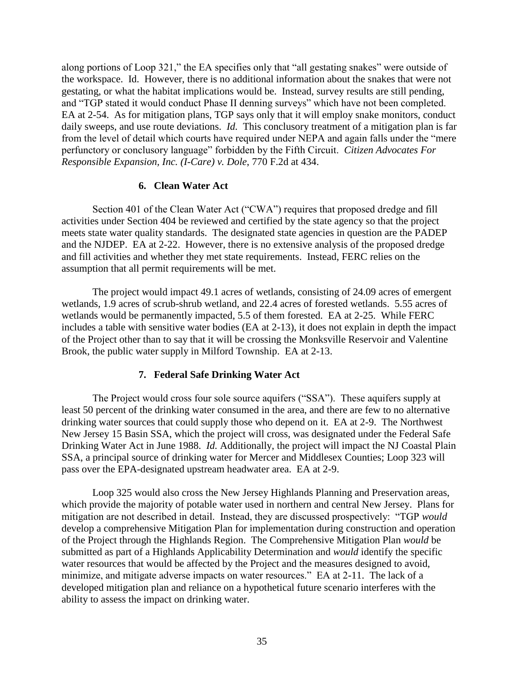along portions of Loop 321," the EA specifies only that "all gestating snakes" were outside of the workspace. Id. However, there is no additional information about the snakes that were not gestating, or what the habitat implications would be. Instead, survey results are still pending, and "TGP stated it would conduct Phase II denning surveys" which have not been completed. EA at 2-54. As for mitigation plans, TGP says only that it will employ snake monitors, conduct daily sweeps, and use route deviations. *Id.* This conclusory treatment of a mitigation plan is far from the level of detail which courts have required under NEPA and again falls under the "mere perfunctory or conclusory language" forbidden by the Fifth Circuit. *Citizen Advocates For Responsible Expansion, Inc. (I-Care) v. Dole*, 770 F.2d at 434.

## **6. Clean Water Act**

Section 401 of the Clean Water Act ("CWA") requires that proposed dredge and fill activities under Section 404 be reviewed and certified by the state agency so that the project meets state water quality standards. The designated state agencies in question are the PADEP and the NJDEP. EA at 2-22. However, there is no extensive analysis of the proposed dredge and fill activities and whether they met state requirements. Instead, FERC relies on the assumption that all permit requirements will be met.

The project would impact 49.1 acres of wetlands, consisting of 24.09 acres of emergent wetlands, 1.9 acres of scrub-shrub wetland, and 22.4 acres of forested wetlands. 5.55 acres of wetlands would be permanently impacted, 5.5 of them forested. EA at 2-25. While FERC includes a table with sensitive water bodies (EA at 2-13), it does not explain in depth the impact of the Project other than to say that it will be crossing the Monksville Reservoir and Valentine Brook, the public water supply in Milford Township. EA at 2-13.

## **7. Federal Safe Drinking Water Act**

The Project would cross four sole source aquifers ("SSA"). These aquifers supply at least 50 percent of the drinking water consumed in the area, and there are few to no alternative drinking water sources that could supply those who depend on it. EA at 2-9. The Northwest New Jersey 15 Basin SSA, which the project will cross, was designated under the Federal Safe Drinking Water Act in June 1988. *Id.* Additionally, the project will impact the NJ Coastal Plain SSA, a principal source of drinking water for Mercer and Middlesex Counties; Loop 323 will pass over the EPA-designated upstream headwater area. EA at 2-9.

Loop 325 would also cross the New Jersey Highlands Planning and Preservation areas, which provide the majority of potable water used in northern and central New Jersey. Plans for mitigation are not described in detail. Instead, they are discussed prospectively: "TGP *would* develop a comprehensive Mitigation Plan for implementation during construction and operation of the Project through the Highlands Region. The Comprehensive Mitigation Plan *would* be submitted as part of a Highlands Applicability Determination and *would* identify the specific water resources that would be affected by the Project and the measures designed to avoid, minimize, and mitigate adverse impacts on water resources." EA at 2-11. The lack of a developed mitigation plan and reliance on a hypothetical future scenario interferes with the ability to assess the impact on drinking water.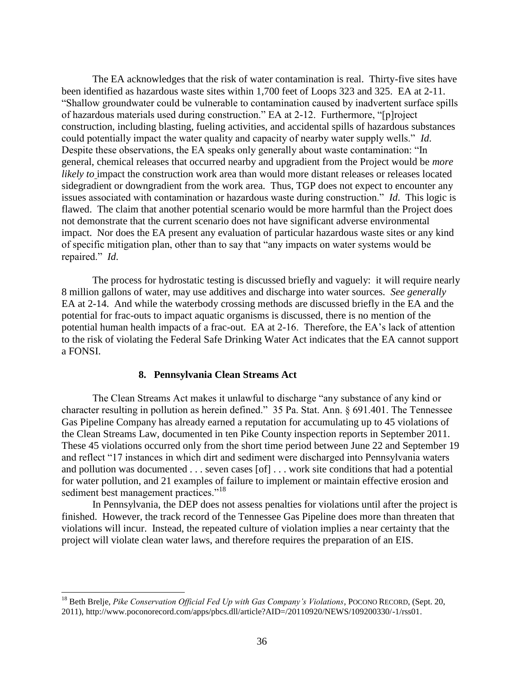The EA acknowledges that the risk of water contamination is real. Thirty-five sites have been identified as hazardous waste sites within 1,700 feet of Loops 323 and 325. EA at 2-11. "Shallow groundwater could be vulnerable to contamination caused by inadvertent surface spills of hazardous materials used during construction." EA at 2-12. Furthermore, "[p]roject construction, including blasting, fueling activities, and accidental spills of hazardous substances could potentially impact the water quality and capacity of nearby water supply wells." *Id*. Despite these observations, the EA speaks only generally about waste contamination: "In general, chemical releases that occurred nearby and upgradient from the Project would be *more likely to* impact the construction work area than would more distant releases or releases located sidegradient or downgradient from the work area. Thus, TGP does not expect to encounter any issues associated with contamination or hazardous waste during construction." *Id*. This logic is flawed. The claim that another potential scenario would be more harmful than the Project does not demonstrate that the current scenario does not have significant adverse environmental impact. Nor does the EA present any evaluation of particular hazardous waste sites or any kind of specific mitigation plan, other than to say that "any impacts on water systems would be repaired." *Id*.

The process for hydrostatic testing is discussed briefly and vaguely: it will require nearly 8 million gallons of water, may use additives and discharge into water sources. *See generally* EA at 2-14. And while the waterbody crossing methods are discussed briefly in the EA and the potential for frac-outs to impact aquatic organisms is discussed, there is no mention of the potential human health impacts of a frac-out. EA at 2-16. Therefore, the EA's lack of attention to the risk of violating the Federal Safe Drinking Water Act indicates that the EA cannot support a FONSI.

#### **8. Pennsylvania Clean Streams Act**

The Clean Streams Act makes it unlawful to discharge "any substance of any kind or character resulting in pollution as herein defined." 35 Pa. Stat. Ann. § 691.401. The Tennessee Gas Pipeline Company has already earned a reputation for accumulating up to 45 violations of the Clean Streams Law, documented in ten Pike County inspection reports in September 2011. These 45 violations occurred only from the short time period between June 22 and September 19 and reflect "17 instances in which dirt and sediment were discharged into Pennsylvania waters and pollution was documented . . . seven cases [of] . . . work site conditions that had a potential for water pollution, and 21 examples of failure to implement or maintain effective erosion and sediment best management practices."<sup>18</sup>

In Pennsylvania, the DEP does not assess penalties for violations until after the project is finished. However, the track record of the Tennessee Gas Pipeline does more than threaten that violations will incur. Instead, the repeated culture of violation implies a near certainty that the project will violate clean water laws, and therefore requires the preparation of an EIS.

<sup>18</sup> Beth Brelje, *Pike Conservation Official Fed Up with Gas Company's Violations*, POCONO RECORD, (Sept. 20, 2011), [http://www.poconorecord.com/apps/pbcs.dll/article?AID=/20110920/NEWS/109200330/-1/rss01.](http://www.poconorecord.com/apps/pbcs.dll/article?AID=/20110920/NEWS/109200330/-1/rss01)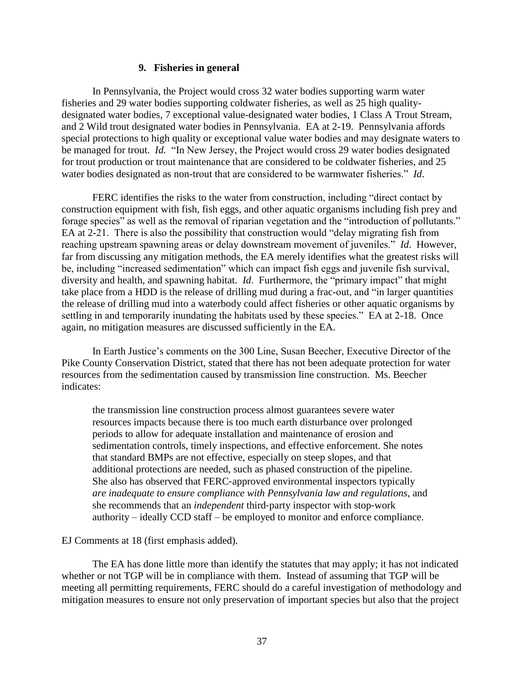#### **9. Fisheries in general**

In Pennsylvania, the Project would cross 32 water bodies supporting warm water fisheries and 29 water bodies supporting coldwater fisheries, as well as 25 high qualitydesignated water bodies, 7 exceptional value-designated water bodies, 1 Class A Trout Stream, and 2 Wild trout designated water bodies in Pennsylvania. EA at 2-19. Pennsylvania affords special protections to high quality or exceptional value water bodies and may designate waters to be managed for trout. *Id.* "In New Jersey, the Project would cross 29 water bodies designated for trout production or trout maintenance that are considered to be coldwater fisheries, and 25 water bodies designated as non-trout that are considered to be warmwater fisheries." *Id*.

FERC identifies the risks to the water from construction, including "direct contact by construction equipment with fish, fish eggs, and other aquatic organisms including fish prey and forage species" as well as the removal of riparian vegetation and the "introduction of pollutants." EA at 2-21. There is also the possibility that construction would "delay migrating fish from reaching upstream spawning areas or delay downstream movement of juveniles." *Id*. However, far from discussing any mitigation methods, the EA merely identifies what the greatest risks will be, including "increased sedimentation" which can impact fish eggs and juvenile fish survival, diversity and health, and spawning habitat. *Id*. Furthermore, the "primary impact" that might take place from a HDD is the release of drilling mud during a frac-out, and "in larger quantities the release of drilling mud into a waterbody could affect fisheries or other aquatic organisms by settling in and temporarily inundating the habitats used by these species." EA at 2-18. Once again, no mitigation measures are discussed sufficiently in the EA.

In Earth Justice's comments on the 300 Line, Susan Beecher, Executive Director of the Pike County Conservation District, stated that there has not been adequate protection for water resources from the sedimentation caused by transmission line construction. Ms. Beecher indicates:

the transmission line construction process almost guarantees severe water resources impacts because there is too much earth disturbance over prolonged periods to allow for adequate installation and maintenance of erosion and sedimentation controls, timely inspections, and effective enforcement. She notes that standard BMPs are not effective, especially on steep slopes, and that additional protections are needed, such as phased construction of the pipeline. She also has observed that FERC‐approved environmental inspectors typically *are inadequate to ensure compliance with Pennsylvania law and regulations*, and she recommends that an *independent* third‐party inspector with stop‐work authority – ideally CCD staff – be employed to monitor and enforce compliance.

#### EJ Comments at 18 (first emphasis added).

The EA has done little more than identify the statutes that may apply; it has not indicated whether or not TGP will be in compliance with them. Instead of assuming that TGP will be meeting all permitting requirements, FERC should do a careful investigation of methodology and mitigation measures to ensure not only preservation of important species but also that the project